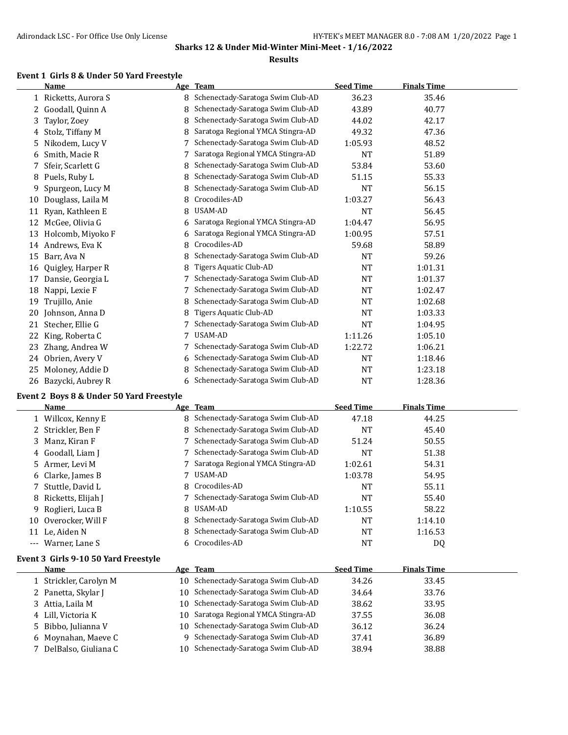#### **Results**

#### **Event 1 Girls 8 & Under 50 Yard Freestyle**

|    | <b>Name</b>          |   | Age Team                          | <b>Seed Time</b> | <b>Finals Time</b> |  |
|----|----------------------|---|-----------------------------------|------------------|--------------------|--|
|    | 1 Ricketts, Aurora S | 8 | Schenectady-Saratoga Swim Club-AD | 36.23            | 35.46              |  |
| 2  | Goodall, Quinn A     | 8 | Schenectady-Saratoga Swim Club-AD | 43.89            | 40.77              |  |
| 3  | Taylor, Zoey         | 8 | Schenectady-Saratoga Swim Club-AD | 44.02            | 42.17              |  |
| 4  | Stolz, Tiffany M     | 8 | Saratoga Regional YMCA Stingra-AD | 49.32            | 47.36              |  |
| 5. | Nikodem, Lucy V      |   | Schenectady-Saratoga Swim Club-AD | 1:05.93          | 48.52              |  |
| 6  | Smith, Macie R       |   | Saratoga Regional YMCA Stingra-AD | NT               | 51.89              |  |
| 7  | Sfeir, Scarlett G    | 8 | Schenectady-Saratoga Swim Club-AD | 53.84            | 53.60              |  |
| 8  | Puels, Ruby L        | 8 | Schenectady-Saratoga Swim Club-AD | 51.15            | 55.33              |  |
| 9  | Spurgeon, Lucy M     | 8 | Schenectady-Saratoga Swim Club-AD | <b>NT</b>        | 56.15              |  |
| 10 | Douglass, Laila M    | 8 | Crocodiles-AD                     | 1:03.27          | 56.43              |  |
| 11 | Ryan, Kathleen E     | 8 | USAM-AD                           | NT               | 56.45              |  |
| 12 | McGee, Olivia G      | 6 | Saratoga Regional YMCA Stingra-AD | 1:04.47          | 56.95              |  |
| 13 | Holcomb, Miyoko F    | 6 | Saratoga Regional YMCA Stingra-AD | 1:00.95          | 57.51              |  |
|    | 14 Andrews, Eva K    | 8 | Crocodiles-AD                     | 59.68            | 58.89              |  |
| 15 | Barr, Ava N          | 8 | Schenectady-Saratoga Swim Club-AD | <b>NT</b>        | 59.26              |  |
| 16 | Quigley, Harper R    | 8 | Tigers Aquatic Club-AD            | NT               | 1:01.31            |  |
| 17 | Dansie, Georgia L    |   | Schenectady-Saratoga Swim Club-AD | <b>NT</b>        | 1:01.37            |  |
| 18 | Nappi, Lexie F       |   | Schenectady-Saratoga Swim Club-AD | <b>NT</b>        | 1:02.47            |  |
| 19 | Trujillo, Anie       | 8 | Schenectady-Saratoga Swim Club-AD | NT               | 1:02.68            |  |
| 20 | Johnson, Anna D      | 8 | Tigers Aquatic Club-AD            | NT               | 1:03.33            |  |
| 21 | Stecher, Ellie G     |   | Schenectady-Saratoga Swim Club-AD | <b>NT</b>        | 1:04.95            |  |
| 22 | King, Roberta C      | 7 | USAM-AD                           | 1:11.26          | 1:05.10            |  |
| 23 | Zhang, Andrea W      |   | Schenectady-Saratoga Swim Club-AD | 1:22.72          | 1:06.21            |  |
| 24 | Obrien, Avery V      | 6 | Schenectady-Saratoga Swim Club-AD | NT               | 1:18.46            |  |
| 25 | Moloney, Addie D     | 8 | Schenectady-Saratoga Swim Club-AD | <b>NT</b>        | 1:23.18            |  |
| 26 | Bazycki, Aubrey R    | 6 | Schenectady-Saratoga Swim Club-AD | <b>NT</b>        | 1:28.36            |  |

#### **Event 2 Boys 8 & Under 50 Yard Freestyle**

|          | <b>Name</b>          |   | Age Team                            | <b>Seed Time</b> | <b>Finals Time</b> |
|----------|----------------------|---|-------------------------------------|------------------|--------------------|
|          | 1 Willcox, Kenny E   |   | 8 Schenectady-Saratoga Swim Club-AD | 47.18            | 44.25              |
|          | 2 Strickler, Ben F   |   | 8 Schenectady-Saratoga Swim Club-AD | NT               | 45.40              |
|          | 3 Manz. Kiran F      |   | Schenectady-Saratoga Swim Club-AD   | 51.24            | 50.55              |
|          | 4 Goodall, Liam J    |   | Schenectady-Saratoga Swim Club-AD   | NT               | 51.38              |
|          | 5 Armer, Levi M      |   | Saratoga Regional YMCA Stingra-AD   | 1:02.61          | 54.31              |
|          | 6 Clarke, James B    |   | USAM-AD                             | 1:03.78          | 54.95              |
|          | 7 Stuttle, David L   |   | 8 Crocodiles-AD                     | NT               | 55.11              |
|          | 8 Ricketts, Elijah J |   | Schenectady-Saratoga Swim Club-AD   | NT               | 55.40              |
|          | 9 Roglieri, Luca B   | 8 | USAM-AD                             | 1:10.55          | 58.22              |
| 10       | Overocker. Will F    | 8 | Schenectady-Saratoga Swim Club-AD   | NT               | 1:14.10            |
| 11       | Le. Aiden N          | 8 | Schenectady-Saratoga Swim Club-AD   | NT               | 1:16.53            |
| $\cdots$ | Warner. Lane S       | 6 | Crocodiles-AD                       | NT               | DQ                 |

#### **Event 3 Girls 9-10 50 Yard Freestyle**

| Name                   |  | Age Team                             | <b>Seed Time</b> | <b>Finals Time</b> |  |
|------------------------|--|--------------------------------------|------------------|--------------------|--|
| 1 Strickler, Carolyn M |  | 10 Schenectady-Saratoga Swim Club-AD | 34.26            | 33.45              |  |
| 2 Panetta, Skylar J    |  | 10 Schenectady-Saratoga Swim Club-AD | 34.64            | 33.76              |  |
| 3 Attia, Laila M       |  | 10 Schenectady-Saratoga Swim Club-AD | 38.62            | 33.95              |  |
| 4 Lill, Victoria K     |  | 10 Saratoga Regional YMCA Stingra-AD | 37.55            | 36.08              |  |
| 5 Bibbo, Julianna V    |  | 10 Schenectady-Saratoga Swim Club-AD | 36.12            | 36.24              |  |
| 6 Moynahan, Maeve C    |  | 9 Schenectady-Saratoga Swim Club-AD  | 37.41            | 36.89              |  |
| 7 DelBalso, Giuliana C |  | 10 Schenectady-Saratoga Swim Club-AD | 38.94            | 38.88              |  |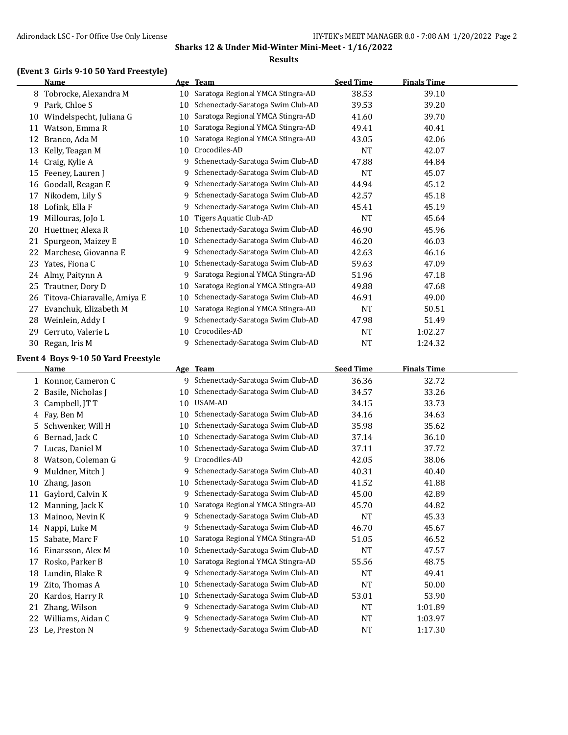#### **Results**

# **(Event 3 Girls 9-10 50 Yard Freestyle)**

|    | <b>Name</b>                                 |    | Age Team                          | <b>Seed Time</b> | <b>Finals Time</b> |  |
|----|---------------------------------------------|----|-----------------------------------|------------------|--------------------|--|
| 8  | Tobrocke, Alexandra M                       | 10 | Saratoga Regional YMCA Stingra-AD | 38.53            | 39.10              |  |
| 9  | Park, Chloe S                               | 10 | Schenectady-Saratoga Swim Club-AD | 39.53            | 39.20              |  |
| 10 | Windelspecht, Juliana G                     | 10 | Saratoga Regional YMCA Stingra-AD | 41.60            | 39.70              |  |
| 11 | Watson, Emma R                              | 10 | Saratoga Regional YMCA Stingra-AD | 49.41            | 40.41              |  |
| 12 | Branco, Ada M                               | 10 | Saratoga Regional YMCA Stingra-AD | 43.05            | 42.06              |  |
| 13 | Kelly, Teagan M                             | 10 | Crocodiles-AD                     | <b>NT</b>        | 42.07              |  |
| 14 | Craig, Kylie A                              | 9  | Schenectady-Saratoga Swim Club-AD | 47.88            | 44.84              |  |
| 15 | Feeney, Lauren J                            | 9  | Schenectady-Saratoga Swim Club-AD | <b>NT</b>        | 45.07              |  |
| 16 | Goodall, Reagan E                           | 9  | Schenectady-Saratoga Swim Club-AD | 44.94            | 45.12              |  |
| 17 | Nikodem, Lily S                             | 9  | Schenectady-Saratoga Swim Club-AD | 42.57            | 45.18              |  |
| 18 | Lofink, Ella F                              | 9  | Schenectady-Saratoga Swim Club-AD | 45.41            | 45.19              |  |
| 19 | Millouras, JoJo L                           | 10 | Tigers Aquatic Club-AD            | <b>NT</b>        | 45.64              |  |
| 20 | Huettner, Alexa R                           | 10 | Schenectady-Saratoga Swim Club-AD | 46.90            | 45.96              |  |
| 21 | Spurgeon, Maizey E                          | 10 | Schenectady-Saratoga Swim Club-AD | 46.20            | 46.03              |  |
| 22 | Marchese, Giovanna E                        | 9  | Schenectady-Saratoga Swim Club-AD | 42.63            | 46.16              |  |
| 23 | Yates, Fiona C                              | 10 | Schenectady-Saratoga Swim Club-AD | 59.63            | 47.09              |  |
| 24 | Almy, Paitynn A                             | 9  | Saratoga Regional YMCA Stingra-AD | 51.96            | 47.18              |  |
| 25 | Trautner, Dory D                            | 10 | Saratoga Regional YMCA Stingra-AD | 49.88            | 47.68              |  |
| 26 | Titova-Chiaravalle, Amiya E                 | 10 | Schenectady-Saratoga Swim Club-AD | 46.91            | 49.00              |  |
| 27 | Evanchuk, Elizabeth M                       | 10 | Saratoga Regional YMCA Stingra-AD | <b>NT</b>        | 50.51              |  |
| 28 | Weinlein, Addy I                            | 9  | Schenectady-Saratoga Swim Club-AD | 47.98            | 51.49              |  |
| 29 | Cerruto, Valerie L                          |    | 10 Crocodiles-AD                  | <b>NT</b>        | 1:02.27            |  |
| 30 | Regan, Iris M                               | 9  | Schenectady-Saratoga Swim Club-AD | <b>NT</b>        | 1:24.32            |  |
|    | Event $A$ , Deve $0, 10$ EQ Vand Energy leg |    |                                   |                  |                    |  |

# **Event 4 Boys 9-10 50 Yard Freestyle**

|    | Name               |    | Age Team                          | <b>Seed Time</b> | <b>Finals Time</b> |
|----|--------------------|----|-----------------------------------|------------------|--------------------|
| 1  | Konnor, Cameron C  | 9  | Schenectady-Saratoga Swim Club-AD | 36.36            | 32.72              |
| 2  | Basile, Nicholas J | 10 | Schenectady-Saratoga Swim Club-AD | 34.57            | 33.26              |
| 3  | Campbell, JT T     | 10 | USAM-AD                           | 34.15            | 33.73              |
| 4  | Fay, Ben M         | 10 | Schenectady-Saratoga Swim Club-AD | 34.16            | 34.63              |
| 5. | Schwenker, Will H  | 10 | Schenectady-Saratoga Swim Club-AD | 35.98            | 35.62              |
| 6  | Bernad, Jack C     | 10 | Schenectady-Saratoga Swim Club-AD | 37.14            | 36.10              |
| 7  | Lucas, Daniel M    | 10 | Schenectady-Saratoga Swim Club-AD | 37.11            | 37.72              |
| 8  | Watson, Coleman G  | 9  | Crocodiles-AD                     | 42.05            | 38.06              |
| 9  | Muldner, Mitch J   | 9  | Schenectady-Saratoga Swim Club-AD | 40.31            | 40.40              |
| 10 | Zhang, Jason       | 10 | Schenectady-Saratoga Swim Club-AD | 41.52            | 41.88              |
| 11 | Gaylord, Calvin K  | 9  | Schenectady-Saratoga Swim Club-AD | 45.00            | 42.89              |
| 12 | Manning, Jack K    | 10 | Saratoga Regional YMCA Stingra-AD | 45.70            | 44.82              |
| 13 | Mainoo, Nevin K    | 9  | Schenectady-Saratoga Swim Club-AD | <b>NT</b>        | 45.33              |
| 14 | Nappi, Luke M      | 9  | Schenectady-Saratoga Swim Club-AD | 46.70            | 45.67              |
| 15 | Sabate, Marc F     | 10 | Saratoga Regional YMCA Stingra-AD | 51.05            | 46.52              |
| 16 | Einarsson, Alex M  | 10 | Schenectady-Saratoga Swim Club-AD | <b>NT</b>        | 47.57              |
| 17 | Rosko, Parker B    | 10 | Saratoga Regional YMCA Stingra-AD | 55.56            | 48.75              |
| 18 | Lundin, Blake R    | 9  | Schenectady-Saratoga Swim Club-AD | NT               | 49.41              |
| 19 | Zito, Thomas A     | 10 | Schenectady-Saratoga Swim Club-AD | <b>NT</b>        | 50.00              |
| 20 | Kardos, Harry R    | 10 | Schenectady-Saratoga Swim Club-AD | 53.01            | 53.90              |
| 21 | Zhang, Wilson      | 9  | Schenectady-Saratoga Swim Club-AD | <b>NT</b>        | 1:01.89            |
| 22 | Williams, Aidan C  | 9  | Schenectady-Saratoga Swim Club-AD | <b>NT</b>        | 1:03.97            |
| 23 | Le, Preston N      | 9  | Schenectady-Saratoga Swim Club-AD | NT               | 1:17.30            |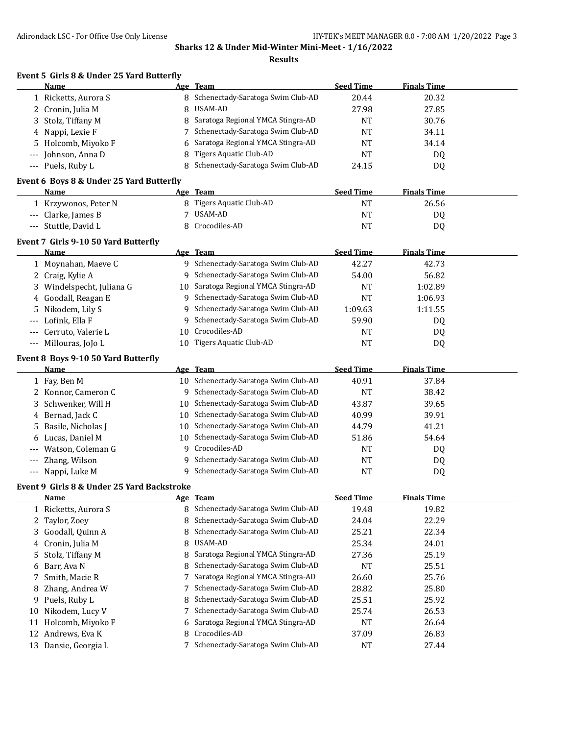**Results**

|       | Event 5 Girls 8 & Under 25 Yard Butterfly        |    |                                                      |                    |                    |  |
|-------|--------------------------------------------------|----|------------------------------------------------------|--------------------|--------------------|--|
|       | Name                                             |    | Age Team                                             | <b>Seed Time</b>   | <b>Finals Time</b> |  |
|       | 1 Ricketts, Aurora S                             |    | 8 Schenectady-Saratoga Swim Club-AD                  | 20.44              | 20.32              |  |
| 2     | Cronin, Julia M                                  | 8  | USAM-AD                                              | 27.98              | 27.85              |  |
| 3     | Stolz, Tiffany M                                 | 8  | Saratoga Regional YMCA Stingra-AD                    | <b>NT</b>          | 30.76              |  |
| 4     | Nappi, Lexie F                                   |    | Schenectady-Saratoga Swim Club-AD                    | <b>NT</b>          | 34.11              |  |
| 5     | Holcomb, Miyoko F                                |    | Saratoga Regional YMCA Stingra-AD                    | <b>NT</b>          | 34.14              |  |
|       | Johnson, Anna D                                  |    | <b>Tigers Aquatic Club-AD</b>                        | <b>NT</b>          | DQ                 |  |
| $---$ | Puels, Ruby L                                    | 8  | Schenectady-Saratoga Swim Club-AD                    | 24.15              | DQ                 |  |
|       | Event 6 Boys 8 & Under 25 Yard Butterfly<br>Name |    | Age Team                                             | <b>Seed Time</b>   | <b>Finals Time</b> |  |
|       |                                                  |    | 8 Tigers Aquatic Club-AD                             | <b>NT</b>          | 26.56              |  |
|       | 1 Krzywonos, Peter N                             | 7  | <b>USAM-AD</b>                                       | <b>NT</b>          |                    |  |
|       | Clarke, James B                                  | 8  | Crocodiles-AD                                        |                    | DQ                 |  |
| $---$ | Stuttle, David L                                 |    |                                                      | <b>NT</b>          | DQ                 |  |
|       | Event 7 Girls 9-10 50 Yard Butterfly             |    |                                                      |                    |                    |  |
|       | Name                                             |    | Age Team                                             | <b>Seed Time</b>   | <b>Finals Time</b> |  |
|       | 1 Moynahan, Maeve C                              |    | 9 Schenectady-Saratoga Swim Club-AD                  | 42.27              | 42.73              |  |
|       | 2 Craig, Kylie A                                 |    | 9 Schenectady-Saratoga Swim Club-AD                  | 54.00              | 56.82              |  |
| 3     | Windelspecht, Juliana G                          |    | 10 Saratoga Regional YMCA Stingra-AD                 | <b>NT</b>          | 1:02.89            |  |
| 4     | Goodall, Reagan E                                |    | 9 Schenectady-Saratoga Swim Club-AD                  | <b>NT</b>          | 1:06.93            |  |
| 5     | Nikodem, Lily S                                  |    | 9 Schenectady-Saratoga Swim Club-AD                  | 1:09.63            | 1:11.55            |  |
|       | Lofink, Ella F                                   | 9  | Schenectady-Saratoga Swim Club-AD                    | 59.90              | DQ                 |  |
|       | Cerruto, Valerie L                               | 10 | Crocodiles-AD                                        | <b>NT</b>          | DQ                 |  |
| $---$ | Millouras, JoJo L                                |    | 10 Tigers Aquatic Club-AD                            | <b>NT</b>          | DQ                 |  |
|       | Event 8 Boys 9-10 50 Yard Butterfly              |    |                                                      |                    |                    |  |
|       | Name                                             |    | Age Team                                             | <b>Seed Time</b>   | <b>Finals Time</b> |  |
|       | 1 Fay, Ben M                                     |    | 10 Schenectady-Saratoga Swim Club-AD                 | 40.91              | 37.84              |  |
|       | 2 Konnor, Cameron C                              |    | 9 Schenectady-Saratoga Swim Club-AD                  | <b>NT</b>          | 38.42              |  |
| 3     | Schwenker, Will H                                |    | 10 Schenectady-Saratoga Swim Club-AD                 | 43.87              | 39.65              |  |
|       | 4 Bernad, Jack C                                 |    | 10 Schenectady-Saratoga Swim Club-AD                 | 40.99              | 39.91              |  |
| 5     | Basile, Nicholas J                               |    | 10 Schenectady-Saratoga Swim Club-AD                 | 44.79              | 41.21              |  |
| 6     | Lucas, Daniel M                                  |    | 10 Schenectady-Saratoga Swim Club-AD                 | 51.86              | 54.64              |  |
|       | Watson, Coleman G                                |    | 9 Crocodiles-AD                                      | <b>NT</b>          | DQ                 |  |
|       | Zhang, Wilson                                    |    | 9 Schenectady-Saratoga Swim Club-AD                  | <b>NT</b>          | DQ                 |  |
| $---$ | Nappi, Luke M                                    |    | 9 Schenectady-Saratoga Swim Club-AD                  | <b>NT</b>          | DQ                 |  |
|       | Event 9 Girls 8 & Under 25 Yard Backstroke       |    |                                                      |                    |                    |  |
|       | <b>Name</b>                                      |    | Age Team                                             | <b>Seed Time</b>   | <b>Finals Time</b> |  |
|       |                                                  |    |                                                      |                    |                    |  |
|       |                                                  |    |                                                      |                    |                    |  |
|       | 1 Ricketts, Aurora S                             | 8  | 8 Schenectady-Saratoga Swim Club-AD                  | 19.48              | 19.82              |  |
| 2     | Taylor, Zoey                                     |    | Schenectady-Saratoga Swim Club-AD                    | 24.04              | 22.29              |  |
| 3     | Goodall, Quinn A                                 | 8  | Schenectady-Saratoga Swim Club-AD                    | 25.21              | 22.34              |  |
| 4     | Cronin, Julia M                                  | 8  | USAM-AD                                              | 25.34              | 24.01              |  |
| 5     | Stolz, Tiffany M                                 | 8  | Saratoga Regional YMCA Stingra-AD                    | 27.36              | 25.19              |  |
| 6     | Barr, Ava N                                      | 8  | Schenectady-Saratoga Swim Club-AD                    | <b>NT</b>          | 25.51              |  |
| 7     | Smith, Macie R                                   | 7  | Saratoga Regional YMCA Stingra-AD                    | 26.60              | 25.76              |  |
| 8     | Zhang, Andrea W                                  | 7  | Schenectady-Saratoga Swim Club-AD                    | 28.82              | 25.80              |  |
| 9     | Puels, Ruby L                                    |    | Schenectady-Saratoga Swim Club-AD                    | 25.51              | 25.92              |  |
| 10    | Nikodem, Lucy V                                  | 7  | Schenectady-Saratoga Swim Club-AD                    | 25.74              | 26.53              |  |
| 11    | Holcomb, Miyoko F                                | 6  | Saratoga Regional YMCA Stingra-AD                    | <b>NT</b>          | 26.64              |  |
| 12    | Andrews, Eva K<br>13 Dansie, Georgia L           | 8  | Crocodiles-AD<br>7 Schenectady-Saratoga Swim Club-AD | 37.09<br><b>NT</b> | 26.83<br>27.44     |  |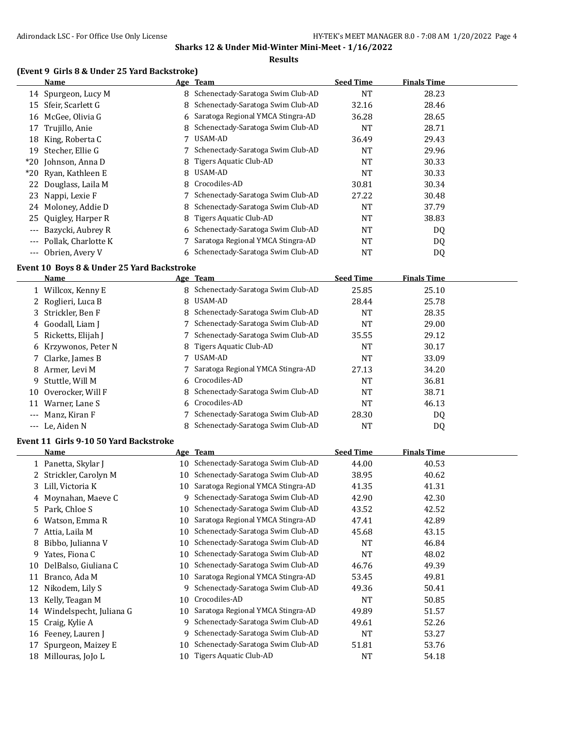#### **Results**

# **(Event 9 Girls 8 & Under 25 Yard Backstroke)**

|                   | Name                 |    | Age Team                            | <b>Seed Time</b> | <b>Finals Time</b> |  |
|-------------------|----------------------|----|-------------------------------------|------------------|--------------------|--|
|                   | 14 Spurgeon, Lucy M  | 8. | Schenectady-Saratoga Swim Club-AD   | NT               | 28.23              |  |
| 15                | Sfeir, Scarlett G    | 8  | Schenectady-Saratoga Swim Club-AD   | 32.16            | 28.46              |  |
| 16                | McGee, Olivia G      |    | 6 Saratoga Regional YMCA Stingra-AD | 36.28            | 28.65              |  |
| 17                | Trujillo, Anie       |    | Schenectady-Saratoga Swim Club-AD   | <b>NT</b>        | 28.71              |  |
| 18                | King, Roberta C      |    | USAM-AD                             | 36.49            | 29.43              |  |
| 19                | Stecher, Ellie G     |    | Schenectady-Saratoga Swim Club-AD   | <b>NT</b>        | 29.96              |  |
|                   | *20 Johnson, Anna D  |    | Tigers Aquatic Club-AD              | NT               | 30.33              |  |
|                   | *20 Ryan, Kathleen E | 8. | USAM-AD                             | <b>NT</b>        | 30.33              |  |
|                   | 22 Douglass, Laila M | 8  | Crocodiles-AD                       | 30.81            | 30.34              |  |
| 23                | Nappi, Lexie F       |    | Schenectady-Saratoga Swim Club-AD   | 27.22            | 30.48              |  |
| 24                | Moloney, Addie D     | 8  | Schenectady-Saratoga Swim Club-AD   | NT               | 37.79              |  |
| 25                | Quigley, Harper R    | 8  | Tigers Aquatic Club-AD              | <b>NT</b>        | 38.83              |  |
| $---$             | Bazycki, Aubrey R    | 6  | Schenectady-Saratoga Swim Club-AD   | <b>NT</b>        | DQ                 |  |
| $---$             | Pollak, Charlotte K  |    | Saratoga Regional YMCA Stingra-AD   | <b>NT</b>        | DQ                 |  |
| $\qquad \qquad -$ | Obrien, Avery V      |    | 6 Schenectady-Saratoga Swim Club-AD | NT               | DQ                 |  |

# **Event 10 Boys 8 & Under 25 Yard Backstroke**

|       | Name                 |   | Age Team                            | <b>Seed Time</b> | <b>Finals Time</b> |  |
|-------|----------------------|---|-------------------------------------|------------------|--------------------|--|
|       | 1 Willcox, Kenny E   |   | 8 Schenectady-Saratoga Swim Club-AD | 25.85            | 25.10              |  |
|       | 2 Roglieri, Luca B   | 8 | USAM-AD                             | 28.44            | 25.78              |  |
|       | 3 Strickler, Ben F   |   | 8 Schenectady-Saratoga Swim Club-AD | <b>NT</b>        | 28.35              |  |
|       | 4 Goodall, Liam J    |   | 7 Schenectady-Saratoga Swim Club-AD | <b>NT</b>        | 29.00              |  |
|       | 5 Ricketts, Elijah J |   | 7 Schenectady-Saratoga Swim Club-AD | 35.55            | 29.12              |  |
|       | 6 Krzywonos, Peter N |   | 8 Tigers Aquatic Club-AD            | <b>NT</b>        | 30.17              |  |
|       | 7 Clarke, James B    |   | USAM-AD                             | NT               | 33.09              |  |
|       | 8 Armer, Levi M      |   | 7 Saratoga Regional YMCA Stingra-AD | 27.13            | 34.20              |  |
|       | 9 Stuttle. Will M    |   | 6 Crocodiles-AD                     | <b>NT</b>        | 36.81              |  |
|       | 10 Overocker, Will F |   | 8 Schenectady-Saratoga Swim Club-AD | <b>NT</b>        | 38.71              |  |
| 11    | Warner, Lane S       |   | 6 Crocodiles-AD                     | <b>NT</b>        | 46.13              |  |
| $---$ | Manz, Kiran F        |   | 7 Schenectady-Saratoga Swim Club-AD | 28.30            | DQ                 |  |
|       | --- Le. Aiden N      |   | 8 Schenectady-Saratoga Swim Club-AD | NT               | DQ                 |  |

#### **Event 11 Girls 9-10 50 Yard Backstroke**

|    | Name                    | <u>Age</u> | <b>Team</b>                       | <b>Seed Time</b> | <b>Finals Time</b> |  |
|----|-------------------------|------------|-----------------------------------|------------------|--------------------|--|
|    | 1 Panetta, Skylar J     | 10         | Schenectady-Saratoga Swim Club-AD | 44.00            | 40.53              |  |
|    | 2 Strickler, Carolyn M  | 10         | Schenectady-Saratoga Swim Club-AD | 38.95            | 40.62              |  |
|    | 3 Lill, Victoria K      | 10         | Saratoga Regional YMCA Stingra-AD | 41.35            | 41.31              |  |
|    | 4 Moynahan, Maeve C     | 9.         | Schenectady-Saratoga Swim Club-AD | 42.90            | 42.30              |  |
|    | 5 Park, Chloe S         | 10         | Schenectady-Saratoga Swim Club-AD | 43.52            | 42.52              |  |
| 6  | Watson, Emma R          | 10         | Saratoga Regional YMCA Stingra-AD | 47.41            | 42.89              |  |
|    | 7 Attia, Laila M        | 10         | Schenectady-Saratoga Swim Club-AD | 45.68            | 43.15              |  |
| 8. | Bibbo, Julianna V       | 10         | Schenectady-Saratoga Swim Club-AD | <b>NT</b>        | 46.84              |  |
| 9  | Yates, Fiona C          | 10         | Schenectady-Saratoga Swim Club-AD | <b>NT</b>        | 48.02              |  |
| 10 | DelBalso, Giuliana C    | 10         | Schenectady-Saratoga Swim Club-AD | 46.76            | 49.39              |  |
| 11 | Branco, Ada M           | 10         | Saratoga Regional YMCA Stingra-AD | 53.45            | 49.81              |  |
| 12 | Nikodem, Lily S         | 9          | Schenectady-Saratoga Swim Club-AD | 49.36            | 50.41              |  |
| 13 | Kelly, Teagan M         | 10         | Crocodiles-AD                     | <b>NT</b>        | 50.85              |  |
| 14 | Windelspecht, Juliana G | 10         | Saratoga Regional YMCA Stingra-AD | 49.89            | 51.57              |  |
| 15 | Craig, Kylie A          | 9.         | Schenectady-Saratoga Swim Club-AD | 49.61            | 52.26              |  |
|    | 16 Feeney, Lauren J     | 9.         | Schenectady-Saratoga Swim Club-AD | <b>NT</b>        | 53.27              |  |
| 17 | Spurgeon, Maizey E      | 10         | Schenectady-Saratoga Swim Club-AD | 51.81            | 53.76              |  |
| 18 | Millouras, JoJo L       | 10         | Tigers Aquatic Club-AD            | <b>NT</b>        | 54.18              |  |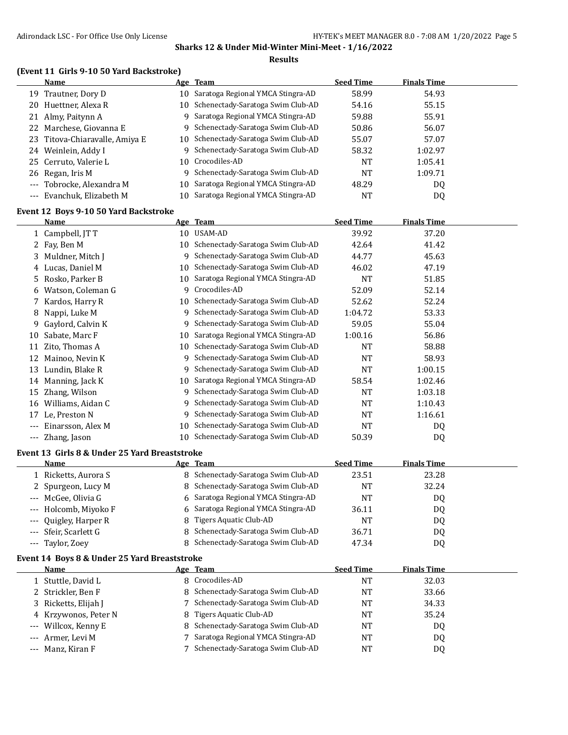#### **Results**

# **(Event 11 Girls 9-10 50 Yard Backstroke)**

| Name                           |    | Age Team                             | <b>Seed Time</b> | <b>Finals Time</b> |  |
|--------------------------------|----|--------------------------------------|------------------|--------------------|--|
| 19 Trautner, Dory D            | 10 | Saratoga Regional YMCA Stingra-AD    | 58.99            | 54.93              |  |
| 20 Huettner, Alexa R           |    | 10 Schenectady-Saratoga Swim Club-AD | 54.16            | 55.15              |  |
| 21 Almy, Paitynn A             | 9. | Saratoga Regional YMCA Stingra-AD    | 59.88            | 55.91              |  |
| 22 Marchese, Giovanna E        |    | 9 Schenectady-Saratoga Swim Club-AD  | 50.86            | 56.07              |  |
| 23 Titova-Chiaravalle, Amiya E | 10 | Schenectady-Saratoga Swim Club-AD    | 55.07            | 57.07              |  |
| 24 Weinlein, Addy I            | 9. | Schenectady-Saratoga Swim Club-AD    | 58.32            | 1:02.97            |  |
| 25 Cerruto, Valerie L          |    | 10 Crocodiles-AD                     | <b>NT</b>        | 1:05.41            |  |
| 26 Regan, Iris M               | 9  | Schenectady-Saratoga Swim Club-AD    | <b>NT</b>        | 1:09.71            |  |
| --- Tobrocke, Alexandra M      | 10 | Saratoga Regional YMCA Stingra-AD    | 48.29            | DQ                 |  |
| --- Evanchuk, Elizabeth M      |    | 10 Saratoga Regional YMCA Stingra-AD | NT               | DQ                 |  |

#### **Event 12 Boys 9-10 50 Yard Backstroke**

|     | Name              |    | Age Team                          | <b>Seed Time</b> | <b>Finals Time</b> |  |
|-----|-------------------|----|-----------------------------------|------------------|--------------------|--|
|     | 1 Campbell, JT T  | 10 | USAM-AD                           | 39.92            | 37.20              |  |
|     | Fay, Ben M        | 10 | Schenectady-Saratoga Swim Club-AD | 42.64            | 41.42              |  |
| 3   | Muldner, Mitch J  | 9  | Schenectady-Saratoga Swim Club-AD | 44.77            | 45.63              |  |
| 4   | Lucas, Daniel M   | 10 | Schenectady-Saratoga Swim Club-AD | 46.02            | 47.19              |  |
| 5.  | Rosko, Parker B   | 10 | Saratoga Regional YMCA Stingra-AD | <b>NT</b>        | 51.85              |  |
| 6   | Watson, Coleman G | 9  | Crocodiles-AD                     | 52.09            | 52.14              |  |
|     | 7 Kardos, Harry R | 10 | Schenectady-Saratoga Swim Club-AD | 52.62            | 52.24              |  |
| 8   | Nappi, Luke M     | 9  | Schenectady-Saratoga Swim Club-AD | 1:04.72          | 53.33              |  |
| 9.  | Gaylord, Calvin K | 9  | Schenectady-Saratoga Swim Club-AD | 59.05            | 55.04              |  |
| 10  | Sabate, Marc F    | 10 | Saratoga Regional YMCA Stingra-AD | 1:00.16          | 56.86              |  |
| 11  | Zito, Thomas A    | 10 | Schenectady-Saratoga Swim Club-AD | <b>NT</b>        | 58.88              |  |
| 12  | Mainoo, Nevin K   | 9  | Schenectady-Saratoga Swim Club-AD | <b>NT</b>        | 58.93              |  |
| 13  | Lundin, Blake R   | 9  | Schenectady-Saratoga Swim Club-AD | NT               | 1:00.15            |  |
| 14  | Manning, Jack K   | 10 | Saratoga Regional YMCA Stingra-AD | 58.54            | 1:02.46            |  |
| 15  | Zhang, Wilson     | 9  | Schenectady-Saratoga Swim Club-AD | NT               | 1:03.18            |  |
| 16  | Williams, Aidan C | 9  | Schenectady-Saratoga Swim Club-AD | <b>NT</b>        | 1:10.43            |  |
| 17  | Le, Preston N     | 9  | Schenectady-Saratoga Swim Club-AD | <b>NT</b>        | 1:16.61            |  |
|     | Einarsson, Alex M | 10 | Schenectady-Saratoga Swim Club-AD | NT               | DQ                 |  |
| --- | Zhang, Jason      | 10 | Schenectady-Saratoga Swim Club-AD | 50.39            | DQ                 |  |

#### **Event 13 Girls 8 & Under 25 Yard Breaststroke**

| Name                  | Age Team                 | <b>Seed Time</b>                             | <b>Finals Time</b> |  |
|-----------------------|--------------------------|----------------------------------------------|--------------------|--|
| 1 Ricketts, Aurora S  |                          | 8 Schenectady-Saratoga Swim Club-AD<br>23.51 | 23.28              |  |
| 2 Spurgeon, Lucy M    |                          | 8 Schenectady-Saratoga Swim Club-AD<br>NT    | 32.24              |  |
| --- McGee, Olivia G   |                          | 6 Saratoga Regional YMCA Stingra-AD<br>NT    | DQ                 |  |
| --- Holcomb, Miyoko F |                          | 6 Saratoga Regional YMCA Stingra-AD<br>36.11 | DQ                 |  |
| --- Quigley, Harper R | 8 Tigers Aquatic Club-AD | NT                                           | D <sub>0</sub>     |  |
| --- Sfeir, Scarlett G |                          | 8 Schenectady-Saratoga Swim Club-AD<br>36.71 | DQ                 |  |
| --- Taylor, Zoey      |                          | Schenectady-Saratoga Swim Club-AD<br>47.34   | DQ                 |  |

#### **Event 14 Boys 8 & Under 25 Yard Breaststroke**

| <b>Name</b>          | Age Team                            | <b>Seed Time</b> | <b>Finals Time</b> |  |
|----------------------|-------------------------------------|------------------|--------------------|--|
| 1 Stuttle, David L   | 8 Crocodiles-AD                     | NT               | 32.03              |  |
| 2 Strickler, Ben F   | 8 Schenectady-Saratoga Swim Club-AD | NT               | 33.66              |  |
| 3 Ricketts, Elijah J | 7 Schenectady-Saratoga Swim Club-AD | NT               | 34.33              |  |
| 4 Krzywonos, Peter N | 8 Tigers Aquatic Club-AD            | <b>NT</b>        | 35.24              |  |
| --- Willcox, Kenny E | 8 Schenectady-Saratoga Swim Club-AD | NT               | D <sub>0</sub>     |  |
| --- Armer, Levi M    | 7 Saratoga Regional YMCA Stingra-AD | NT               | DQ                 |  |
| --- Manz, Kiran F    | Schenectady-Saratoga Swim Club-AD   | NT               | D <sub>0</sub>     |  |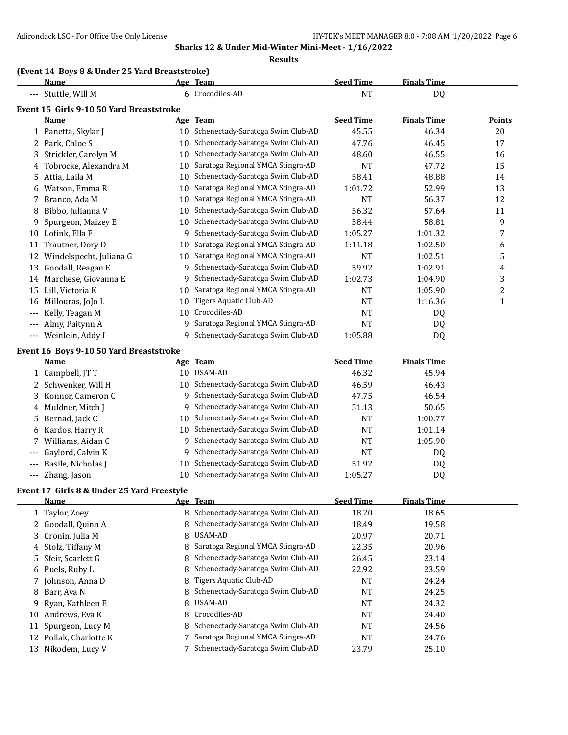**Results**

# **(Event 14 Boys 8 & Under 25 Yard Breaststroke)**

|       | Name                                       |    | Age Team                             | <b>Seed Time</b> | <b>Finals Time</b> |               |
|-------|--------------------------------------------|----|--------------------------------------|------------------|--------------------|---------------|
|       | --- Stuttle, Will M                        |    | 6 Crocodiles-AD                      | <b>NT</b>        | DQ                 |               |
|       | Event 15 Girls 9-10 50 Yard Breaststroke   |    |                                      |                  |                    |               |
|       | Name                                       |    | Age Team                             | <b>Seed Time</b> | <b>Finals Time</b> | <b>Points</b> |
|       | 1 Panetta, Skylar J                        |    | 10 Schenectady-Saratoga Swim Club-AD | 45.55            | 46.34              | 20            |
|       | 2 Park, Chloe S                            |    | 10 Schenectady-Saratoga Swim Club-AD | 47.76            | 46.45              | 17            |
| 3     | Strickler, Carolyn M                       |    | 10 Schenectady-Saratoga Swim Club-AD | 48.60            | 46.55              | 16            |
| 4     | Tobrocke, Alexandra M                      | 10 | Saratoga Regional YMCA Stingra-AD    | <b>NT</b>        | 47.72              | 15            |
|       | 5 Attia, Laila M                           | 10 | Schenectady-Saratoga Swim Club-AD    | 58.41            | 48.88              | 14            |
| 6     | Watson, Emma R                             | 10 | Saratoga Regional YMCA Stingra-AD    | 1:01.72          | 52.99              | 13            |
| 7     | Branco, Ada M                              | 10 | Saratoga Regional YMCA Stingra-AD    | <b>NT</b>        | 56.37              | 12            |
| 8     | Bibbo, Julianna V                          | 10 | Schenectady-Saratoga Swim Club-AD    | 56.32            | 57.64              | 11            |
| 9     | Spurgeon, Maizey E                         | 10 | Schenectady-Saratoga Swim Club-AD    | 58.44            | 58.81              | 9             |
| 10    | Lofink, Ella F                             | 9  | Schenectady-Saratoga Swim Club-AD    | 1:05.27          | 1:01.32            | 7             |
|       | 11 Trautner, Dory D                        | 10 | Saratoga Regional YMCA Stingra-AD    | 1:11.18          | 1:02.50            | 6             |
| 12    | Windelspecht, Juliana G                    | 10 | Saratoga Regional YMCA Stingra-AD    | <b>NT</b>        | 1:02.51            | 5             |
|       | 13 Goodall, Reagan E                       | 9  | Schenectady-Saratoga Swim Club-AD    | 59.92            | 1:02.91            | 4             |
|       | 14 Marchese, Giovanna E                    | 9  | Schenectady-Saratoga Swim Club-AD    | 1:02.73          | 1:04.90            | 3             |
| 15    | Lill, Victoria K                           | 10 | Saratoga Regional YMCA Stingra-AD    | <b>NT</b>        | 1:05.90            | 2             |
| 16    | Millouras, JoJo L                          | 10 | <b>Tigers Aquatic Club-AD</b>        | <b>NT</b>        | 1:16.36            | $\mathbf{1}$  |
|       | Kelly, Teagan M                            | 10 | Crocodiles-AD                        | <b>NT</b>        | DQ                 |               |
|       | Almy, Paitynn A                            | 9  | Saratoga Regional YMCA Stingra-AD    | <b>NT</b>        | DQ                 |               |
| $---$ | Weinlein, Addy I                           | 9  | Schenectady-Saratoga Swim Club-AD    | 1:05.88          | DQ                 |               |
|       | Event 16 Boys 9-10 50 Yard Breaststroke    |    |                                      |                  |                    |               |
|       | Name                                       |    | Age Team                             | <b>Seed Time</b> | <b>Finals Time</b> |               |
|       | 1 Campbell, JT T                           |    | 10 USAM-AD                           | 46.32            | 45.94              |               |
|       | 2 Schwenker, Will H                        | 10 | Schenectady-Saratoga Swim Club-AD    | 46.59            | 46.43              |               |
|       | 3 Konnor, Cameron C                        | 9  | Schenectady-Saratoga Swim Club-AD    | 47.75            | 46.54              |               |
| 4     | Muldner, Mitch J                           | 9  | Schenectady-Saratoga Swim Club-AD    | 51.13            | 50.65              |               |
|       | 5 Bernad, Jack C                           | 10 | Schenectady-Saratoga Swim Club-AD    | <b>NT</b>        | 1:00.77            |               |
| 6     | Kardos, Harry R                            | 10 | Schenectady-Saratoga Swim Club-AD    | <b>NT</b>        | 1:01.14            |               |
|       | Williams, Aidan C                          | 9  | Schenectady-Saratoga Swim Club-AD    | <b>NT</b>        | 1:05.90            |               |
|       | Gaylord, Calvin K                          | 9  | Schenectady-Saratoga Swim Club-AD    | <b>NT</b>        | DQ                 |               |
|       | Basile, Nicholas J                         | 10 | Schenectady-Saratoga Swim Club-AD    | 51.92            | DQ                 |               |
|       | Zhang, Jason                               | 10 | Schenectady-Saratoga Swim Club-AD    | 1:05.27          | DQ                 |               |
|       | Event 17 Girls 8 & Under 25 Yard Freestyle |    |                                      |                  |                    |               |
|       | <b>Name</b>                                |    | Age Team                             | <b>Seed Time</b> | <b>Finals Time</b> |               |
|       | 1 Taylor, Zoey                             |    | 8 Schenectady-Saratoga Swim Club-AD  | 18.20            | 18.65              |               |
|       | 2 Goodall, Quinn A                         | 8  | Schenectady-Saratoga Swim Club-AD    | 18.49            | 19.58              |               |
| 3     | Cronin, Julia M                            | 8  | USAM-AD                              | 20.97            | 20.71              |               |
| 4     | Stolz, Tiffany M                           | 8  | Saratoga Regional YMCA Stingra-AD    | 22.35            | 20.96              |               |
| 5     | Sfeir, Scarlett G                          | 8  | Schenectady-Saratoga Swim Club-AD    | 26.45            | 23.14              |               |
|       | 6 Puels, Ruby L                            | 8  | Schenectady-Saratoga Swim Club-AD    | 22.92            | 23.59              |               |
|       | 7 Johnson, Anna D                          | 8  | Tigers Aquatic Club-AD               | <b>NT</b>        | 24.24              |               |
| 8     | Barr, Ava N                                | 8  | Schenectady-Saratoga Swim Club-AD    | <b>NT</b>        | 24.25              |               |
| 9     | Ryan, Kathleen E                           | 8  | USAM-AD                              | <b>NT</b>        | 24.32              |               |
|       | 10 Andrews, Eva K                          | 8  | Crocodiles-AD                        | <b>NT</b>        | 24.40              |               |
| 11    | Spurgeon, Lucy M                           |    | Schenectady-Saratoga Swim Club-AD    | <b>NT</b>        | 24.56              |               |
|       | 12 Pollak, Charlotte K                     |    | Saratoga Regional YMCA Stingra-AD    | <b>NT</b>        | 24.76              |               |

13 Nikodem, Lucy V 7 Schenectady-Saratoga Swim Club-AD 23.79 25.10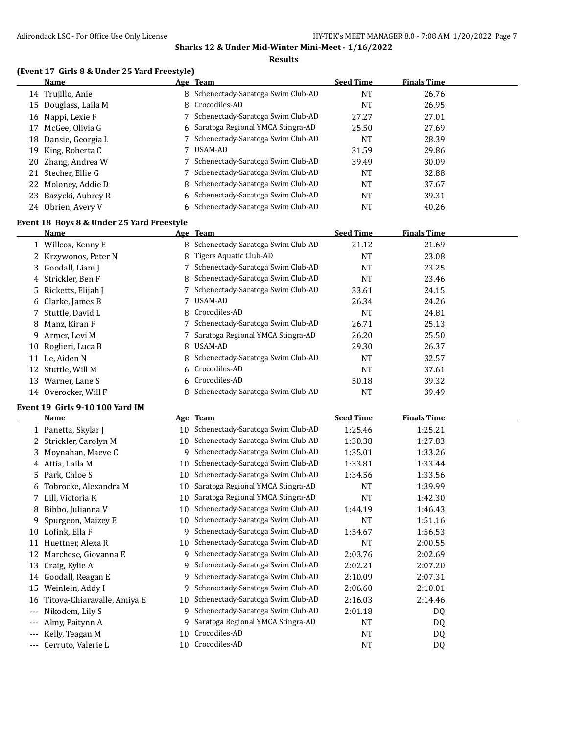#### **Results**

# **(Event 17 Girls 8 & Under 25 Yard Freestyle)**

|    | Name                 | Age Team                            | <b>Seed Time</b> | <b>Finals Time</b> |  |
|----|----------------------|-------------------------------------|------------------|--------------------|--|
|    | 14 Trujillo, Anie    | 8 Schenectady-Saratoga Swim Club-AD | <b>NT</b>        | 26.76              |  |
|    | 15 Douglass, Laila M | 8 Crocodiles-AD                     | NT               | 26.95              |  |
|    | 16 Nappi, Lexie F    | Schenectady-Saratoga Swim Club-AD   | 27.27            | 27.01              |  |
| 17 | McGee, Olivia G      | 6 Saratoga Regional YMCA Stingra-AD | 25.50            | 27.69              |  |
|    | 18 Dansie, Georgia L | Schenectady-Saratoga Swim Club-AD   | <b>NT</b>        | 28.39              |  |
|    | 19 King, Roberta C   | USAM-AD                             | 31.59            | 29.86              |  |
|    | 20 Zhang, Andrea W   | 7 Schenectady-Saratoga Swim Club-AD | 39.49            | 30.09              |  |
|    | 21 Stecher, Ellie G  | 7 Schenectady-Saratoga Swim Club-AD | NT               | 32.88              |  |
|    | 22 Moloney, Addie D  | 8 Schenectady-Saratoga Swim Club-AD | NT               | 37.67              |  |
|    | 23 Bazycki, Aubrey R | 6 Schenectady-Saratoga Swim Club-AD | NT               | 39.31              |  |
|    | 24 Obrien, Avery V   | 6 Schenectady-Saratoga Swim Club-AD | NT               | 40.26              |  |

### **Event 18 Boys 8 & Under 25 Yard Freestyle**

|    | <b>Name</b>          |    | Age Team                            | <b>Seed Time</b> | <b>Finals Time</b> |
|----|----------------------|----|-------------------------------------|------------------|--------------------|
|    | 1 Willcox, Kenny E   |    | 8 Schenectady-Saratoga Swim Club-AD | 21.12            | 21.69              |
|    | 2 Krzywonos, Peter N | 8. | Tigers Aquatic Club-AD              | NT               | 23.08              |
|    | 3 Goodall, Liam J    |    | 7 Schenectady-Saratoga Swim Club-AD | NT               | 23.25              |
|    | 4 Strickler, Ben F   |    | 8 Schenectady-Saratoga Swim Club-AD | <b>NT</b>        | 23.46              |
|    | 5 Ricketts, Elijah J |    | 7 Schenectady-Saratoga Swim Club-AD | 33.61            | 24.15              |
|    | 6 Clarke, James B    |    | USAM-AD                             | 26.34            | 24.26              |
|    | 7 Stuttle, David L   |    | 8 Crocodiles-AD                     | <b>NT</b>        | 24.81              |
| 8  | Manz, Kiran F        |    | 7 Schenectady-Saratoga Swim Club-AD | 26.71            | 25.13              |
|    | 9 Armer, Levi M      |    | 7 Saratoga Regional YMCA Stingra-AD | 26.20            | 25.50              |
| 10 | Roglieri, Luca B     | 8. | USAM-AD                             | 29.30            | 26.37              |
| 11 | Le. Aiden N          |    | 8 Schenectady-Saratoga Swim Club-AD | NT               | 32.57              |
| 12 | Stuttle, Will M      |    | 6 Crocodiles-AD                     | NT               | 37.61              |
| 13 | Warner, Lane S       |    | 6 Crocodiles-AD                     | 50.18            | 39.32              |
|    | 14 Overocker, Will F | 8. | Schenectady-Saratoga Swim Club-AD   | NT               | 39.49              |

#### **Event 19 Girls 9-10 100 Yard IM**

|       | Name                        |    | Age Team                          | <b>Seed Time</b> | <b>Finals Time</b> |  |
|-------|-----------------------------|----|-----------------------------------|------------------|--------------------|--|
|       | 1 Panetta, Skylar J         | 10 | Schenectady-Saratoga Swim Club-AD | 1:25.46          | 1:25.21            |  |
|       | Strickler, Carolyn M        | 10 | Schenectady-Saratoga Swim Club-AD | 1:30.38          | 1:27.83            |  |
| 3.    | Moynahan, Maeve C           | 9  | Schenectady-Saratoga Swim Club-AD | 1:35.01          | 1:33.26            |  |
| 4     | Attia, Laila M              | 10 | Schenectady-Saratoga Swim Club-AD | 1:33.81          | 1:33.44            |  |
| 5.    | Park, Chloe S               | 10 | Schenectady-Saratoga Swim Club-AD | 1:34.56          | 1:33.56            |  |
| 6     | Tobrocke, Alexandra M       | 10 | Saratoga Regional YMCA Stingra-AD | <b>NT</b>        | 1:39.99            |  |
|       | Lill, Victoria K            | 10 | Saratoga Regional YMCA Stingra-AD | <b>NT</b>        | 1:42.30            |  |
| 8     | Bibbo, Julianna V           | 10 | Schenectady-Saratoga Swim Club-AD | 1:44.19          | 1:46.43            |  |
| 9     | Spurgeon, Maizey E          | 10 | Schenectady-Saratoga Swim Club-AD | NT               | 1:51.16            |  |
| 10    | Lofink, Ella F              | 9  | Schenectady-Saratoga Swim Club-AD | 1:54.67          | 1:56.53            |  |
| 11    | Huettner, Alexa R           | 10 | Schenectady-Saratoga Swim Club-AD | <b>NT</b>        | 2:00.55            |  |
| 12    | Marchese, Giovanna E        | 9  | Schenectady-Saratoga Swim Club-AD | 2:03.76          | 2:02.69            |  |
| 13    | Craig, Kylie A              |    | Schenectady-Saratoga Swim Club-AD | 2:02.21          | 2:07.20            |  |
| 14    | Goodall, Reagan E           | 9  | Schenectady-Saratoga Swim Club-AD | 2:10.09          | 2:07.31            |  |
| 15    | Weinlein, Addy I            | 9  | Schenectady-Saratoga Swim Club-AD | 2:06.60          | 2:10.01            |  |
| 16    | Titova-Chiaravalle, Amiya E | 10 | Schenectady-Saratoga Swim Club-AD | 2:16.03          | 2:14.46            |  |
| $---$ | Nikodem, Lily S             | 9  | Schenectady-Saratoga Swim Club-AD | 2:01.18          | DQ                 |  |
|       | Almy, Paitynn A             |    | Saratoga Regional YMCA Stingra-AD | NT               | DQ                 |  |
| $---$ | Kelly, Teagan M             | 10 | Crocodiles-AD                     | NT               | DQ                 |  |
| ---   | Cerruto, Valerie L          | 10 | Crocodiles-AD                     | <b>NT</b>        | DQ                 |  |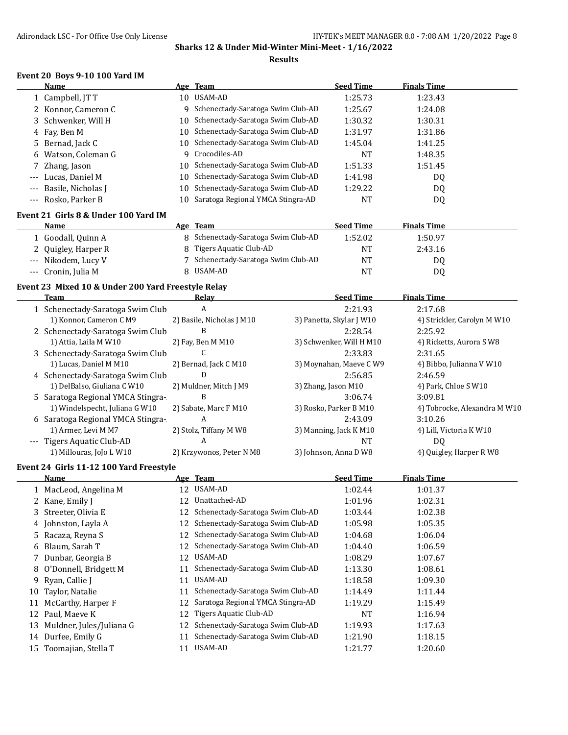#### **Results**

#### **Event 20 Boys 9-10 100 Yard IM**

 $\overline{a}$ 

|       | Name                |     | Age Team                             | <b>Seed Time</b> | <b>Finals Time</b> |  |
|-------|---------------------|-----|--------------------------------------|------------------|--------------------|--|
|       | 1 Campbell, JT T    | 10  | USAM-AD                              | 1:25.73          | 1:23.43            |  |
|       | 2 Konnor, Cameron C |     | 9 Schenectady-Saratoga Swim Club-AD  | 1:25.67          | 1:24.08            |  |
|       | 3 Schwenker, Will H |     | 10 Schenectady-Saratoga Swim Club-AD | 1:30.32          | 1:30.31            |  |
|       | 4 Fay, Ben M        |     | 10 Schenectady-Saratoga Swim Club-AD | 1:31.97          | 1:31.86            |  |
|       | 5 Bernad, Jack C    |     | 10 Schenectady-Saratoga Swim Club-AD | 1:45.04          | 1:41.25            |  |
|       | 6 Watson, Coleman G |     | 9 Crocodiles-AD                      | <b>NT</b>        | 1:48.35            |  |
|       | 7 Zhang, Jason      |     | 10 Schenectady-Saratoga Swim Club-AD | 1:51.33          | 1:51.45            |  |
| $---$ | Lucas, Daniel M     |     | 10 Schenectady-Saratoga Swim Club-AD | 1:41.98          | DQ                 |  |
| $---$ | Basile, Nicholas J  | 10- | Schenectady-Saratoga Swim Club-AD    | 1:29.22          | DQ                 |  |
|       | --- Rosko, Parker B | 10  | Saratoga Regional YMCA Stingra-AD    | NT               | DQ                 |  |

# **Event 21 Girls 8 & Under 100 Yard IM**

| <b>Name</b>         | Age Team                            | <b>Seed Time</b> | <b>Finals Time</b> |  |
|---------------------|-------------------------------------|------------------|--------------------|--|
| 1 Goodall, Quinn A  | 8 Schenectady-Saratoga Swim Club-AD | 1:52.02          | 1:50.97            |  |
| 2 Quigley, Harper R | 8 Tigers Aquatic Club-AD            | NT               | 2:43.16            |  |
| --- Nikodem, Lucy V | Schenectady-Saratoga Swim Club-AD   | <b>NT</b>        | D <sub>0</sub>     |  |
| --- Cronin, Julia M | 8 USAM-AD                           | NT               | D <sub>0</sub>     |  |

## **Event 23 Mixed 10 & Under 200 Yard Freestyle Relay**

| Team                              | Relay                     | <b>Seed Time</b>         | <b>Finals Time</b>           |
|-----------------------------------|---------------------------|--------------------------|------------------------------|
| 1 Schenectady-Saratoga Swim Club  | A                         | 2:21.93                  | 2:17.68                      |
| 1) Konnor, Cameron C M9           | 2) Basile, Nicholas J M10 | 3) Panetta, Skylar J W10 | 4) Strickler, Carolyn M W10  |
| 2 Schenectady-Saratoga Swim Club  | B                         | 2:28.54                  | 2:25.92                      |
| 1) Attia, Laila M W10             | 2) Fay, Ben M M10         | 3) Schwenker, Will H M10 | 4) Ricketts, Aurora S W8     |
| 3 Schenectady-Saratoga Swim Club  |                           | 2:33.83                  | 2:31.65                      |
| 1) Lucas, Daniel M M10            | 2) Bernad, Jack C M10     | 3) Moynahan, Maeve C W9  | 4) Bibbo, Julianna V W10     |
| 4 Schenectady-Saratoga Swim Club  | D                         | 2:56.85                  | 2:46.59                      |
| 1) DelBalso, Giuliana C W10       | 2) Muldner, Mitch J M9    | 3) Zhang, Jason M10      | 4) Park, Chloe S W10         |
| 5 Saratoga Regional YMCA Stingra- | B                         | 3:06.74                  | 3:09.81                      |
| 1) Windelspecht, Juliana G W10    | 2) Sabate, Marc F M10     | 3) Rosko, Parker B M10   | 4) Tobrocke, Alexandra M W10 |
| 6 Saratoga Regional YMCA Stingra- | A                         | 2:43.09                  | 3:10.26                      |
| 1) Armer, Levi M M7               | 2) Stolz, Tiffany M W8    | 3) Manning, Jack K M10   | 4) Lill, Victoria K W10      |
| --- Tigers Aquatic Club-AD        | A                         | <b>NT</b>                | D <sub>0</sub>               |
| 1) Millouras, JoJo L W10          | 2) Krzywonos, Peter N M8  | 3) Johnson, Anna D W8    | 4) Quigley, Harper R W8      |

#### **Event 24 Girls 11-12 100 Yard Freestyle**

|    | Name                     |    | Age Team                             | <b>Seed Time</b> | <b>Finals Time</b> |  |
|----|--------------------------|----|--------------------------------------|------------------|--------------------|--|
|    | 1 MacLeod, Angelina M    | 12 | USAM-AD                              | 1:02.44          | 1:01.37            |  |
|    | 2 Kane, Emily J          | 12 | Unattached-AD                        | 1:01.96          | 1:02.31            |  |
|    | 3 Streeter, Olivia E     | 12 | Schenectady-Saratoga Swim Club-AD    | 1:03.44          | 1:02.38            |  |
|    | 4 Johnston, Layla A      | 12 | Schenectady-Saratoga Swim Club-AD    | 1:05.98          | 1:05.35            |  |
|    | 5 Racaza, Reyna S        |    | 12 Schenectady-Saratoga Swim Club-AD | 1:04.68          | 1:06.04            |  |
|    | 6 Blaum, Sarah T         | 12 | Schenectady-Saratoga Swim Club-AD    | 1:04.40          | 1:06.59            |  |
|    | 7 Dunbar, Georgia B      | 12 | USAM-AD                              | 1:08.29          | 1:07.67            |  |
|    | 8 O'Donnell, Bridgett M  | 11 | Schenectady-Saratoga Swim Club-AD    | 1:13.30          | 1:08.61            |  |
| 9. | Ryan, Callie J           | 11 | USAM-AD                              | 1:18.58          | 1:09.30            |  |
| 10 | Taylor, Natalie          | 11 | Schenectady-Saratoga Swim Club-AD    | 1:14.49          | 1:11.44            |  |
| 11 | McCarthy, Harper F       | 12 | Saratoga Regional YMCA Stingra-AD    | 1:19.29          | 1:15.49            |  |
| 12 | Paul, Maeve K            | 12 | Tigers Aquatic Club-AD               | <b>NT</b>        | 1:16.94            |  |
| 13 | Muldner, Jules/Juliana G | 12 | Schenectady-Saratoga Swim Club-AD    | 1:19.93          | 1:17.63            |  |
| 14 | Durfee, Emily G          | 11 | Schenectady-Saratoga Swim Club-AD    | 1:21.90          | 1:18.15            |  |
| 15 | Toomajian, Stella T      |    | USAM-AD                              | 1:21.77          | 1:20.60            |  |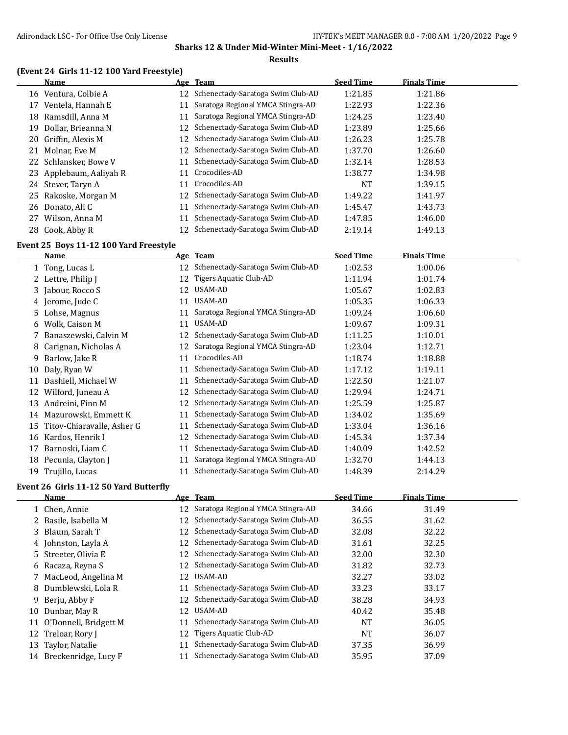#### **Results**

# **(Event 24 Girls 11-12 100 Yard Freestyle)**

|    | <b>Name</b>             |    | Age Team                             | <b>Seed Time</b> | <b>Finals Time</b> |
|----|-------------------------|----|--------------------------------------|------------------|--------------------|
| 16 | Ventura, Colbie A       |    | 12 Schenectady-Saratoga Swim Club-AD | 1:21.85          | 1:21.86            |
| 17 | Ventela, Hannah E       | 11 | Saratoga Regional YMCA Stingra-AD    | 1:22.93          | 1:22.36            |
| 18 | Ramsdill, Anna M        | 11 | Saratoga Regional YMCA Stingra-AD    | 1:24.25          | 1:23.40            |
| 19 | Dollar, Brieanna N      |    | 12 Schenectady-Saratoga Swim Club-AD | 1:23.89          | 1:25.66            |
| 20 | Griffin. Alexis M       |    | 12 Schenectady-Saratoga Swim Club-AD | 1:26.23          | 1:25.78            |
| 21 | Molnar, Eve M           |    | 12 Schenectady-Saratoga Swim Club-AD | 1:37.70          | 1:26.60            |
|    | 22 Schlansker, Bowe V   | 11 | Schenectady-Saratoga Swim Club-AD    | 1:32.14          | 1:28.53            |
|    | 23 Applebaum, Aaliyah R | 11 | Crocodiles-AD                        | 1:38.77          | 1:34.98            |
|    | 24 Stever, Taryn A      | 11 | Crocodiles-AD                        | NT               | 1:39.15            |
|    | 25 Rakoske, Morgan M    | 12 | Schenectady-Saratoga Swim Club-AD    | 1:49.22          | 1:41.97            |
|    | 26 Donato, Ali C        | 11 | Schenectady-Saratoga Swim Club-AD    | 1:45.47          | 1:43.73            |
| 27 | Wilson, Anna M          | 11 | Schenectady-Saratoga Swim Club-AD    | 1:47.85          | 1:46.00            |
|    | 28 Cook, Abby R         | 12 | Schenectady-Saratoga Swim Club-AD    | 2:19.14          | 1:49.13            |

#### **Event 25 Boys 11-12 100 Yard Freestyle**

|    | Name                       |    | Age Team                          | <b>Seed Time</b> | <b>Finals Time</b> |  |
|----|----------------------------|----|-----------------------------------|------------------|--------------------|--|
|    | 1 Tong, Lucas L            | 12 | Schenectady-Saratoga Swim Club-AD | 1:02.53          | 1:00.06            |  |
|    | 2 Lettre, Philip J         | 12 | Tigers Aquatic Club-AD            | 1:11.94          | 1:01.74            |  |
|    | 3 Jabour, Rocco S          | 12 | USAM-AD                           | 1:05.67          | 1:02.83            |  |
|    | 4 Jerome, Jude C           | 11 | USAM-AD                           | 1:05.35          | 1:06.33            |  |
|    | 5 Lohse, Magnus            | 11 | Saratoga Regional YMCA Stingra-AD | 1:09.24          | 1:06.60            |  |
| 6  | Wolk, Caison M             | 11 | USAM-AD                           | 1:09.67          | 1:09.31            |  |
|    | Banaszewski, Calvin M      | 12 | Schenectady-Saratoga Swim Club-AD | 1:11.25          | 1:10.01            |  |
| 8  | Carignan, Nicholas A       | 12 | Saratoga Regional YMCA Stingra-AD | 1:23.04          | 1:12.71            |  |
| 9. | Barlow, Jake R             | 11 | Crocodiles-AD                     | 1:18.74          | 1:18.88            |  |
| 10 | Daly, Ryan W               | 11 | Schenectady-Saratoga Swim Club-AD | 1:17.12          | 1:19.11            |  |
| 11 | Dashiell, Michael W        | 11 | Schenectady-Saratoga Swim Club-AD | 1:22.50          | 1:21.07            |  |
| 12 | Wilford, Juneau A          | 12 | Schenectady-Saratoga Swim Club-AD | 1:29.94          | 1:24.71            |  |
| 13 | Andreini, Finn M           | 12 | Schenectady-Saratoga Swim Club-AD | 1:25.59          | 1:25.87            |  |
| 14 | Mazurowski, Emmett K       | 11 | Schenectady-Saratoga Swim Club-AD | 1:34.02          | 1:35.69            |  |
| 15 | Titov-Chiaravalle, Asher G | 11 | Schenectady-Saratoga Swim Club-AD | 1:33.04          | 1:36.16            |  |
| 16 | Kardos, Henrik I           | 12 | Schenectady-Saratoga Swim Club-AD | 1:45.34          | 1:37.34            |  |
| 17 | Barnoski, Liam C           | 11 | Schenectady-Saratoga Swim Club-AD | 1:40.09          | 1:42.52            |  |
| 18 | Pecunia, Clayton J         | 11 | Saratoga Regional YMCA Stingra-AD | 1:32.70          | 1:44.13            |  |
| 19 | Trujillo, Lucas            | 11 | Schenectady-Saratoga Swim Club-AD | 1:48.39          | 2:14.29            |  |

#### **Event 26 Girls 11-12 50 Yard Butterfly**

|    | <b>Name</b>              |    | Age Team                             | <b>Seed Time</b> | <b>Finals Time</b> |
|----|--------------------------|----|--------------------------------------|------------------|--------------------|
|    | 1 Chen, Annie            |    | 12 Saratoga Regional YMCA Stingra-AD | 34.66            | 31.49              |
|    | 2 Basile, Isabella M     | 12 | Schenectady-Saratoga Swim Club-AD    | 36.55            | 31.62              |
|    | 3 Blaum, Sarah T         |    | Schenectady-Saratoga Swim Club-AD    | 32.08            | 32.22              |
|    | 4 Johnston, Layla A      |    | 12 Schenectady-Saratoga Swim Club-AD | 31.61            | 32.25              |
|    | 5 Streeter, Olivia E     |    | Schenectady-Saratoga Swim Club-AD    | 32.00            | 32.30              |
|    | 6 Racaza, Reyna S        |    | 12 Schenectady-Saratoga Swim Club-AD | 31.82            | 32.73              |
|    | 7 MacLeod, Angelina M    | 12 | USAM-AD                              | 32.27            | 33.02              |
|    | 8 Dumblewski, Lola R     | 11 | Schenectady-Saratoga Swim Club-AD    | 33.23            | 33.17              |
|    | 9 Berju, Abby F          | 12 | Schenectady-Saratoga Swim Club-AD    | 38.28            | 34.93              |
| 10 | Dunbar, May R            | 12 | USAM-AD                              | 40.42            | 35.48              |
|    | 11 O'Donnell, Bridgett M |    | Schenectady-Saratoga Swim Club-AD    | NT               | 36.05              |
|    | 12 Treloar, Rory J       | 12 | Tigers Aquatic Club-AD               | NT               | 36.07              |
| 13 | Taylor, Natalie          |    | Schenectady-Saratoga Swim Club-AD    | 37.35            | 36.99              |
| 14 | Breckenridge, Lucy F     |    | Schenectady-Saratoga Swim Club-AD    | 35.95            | 37.09              |
|    |                          |    |                                      |                  |                    |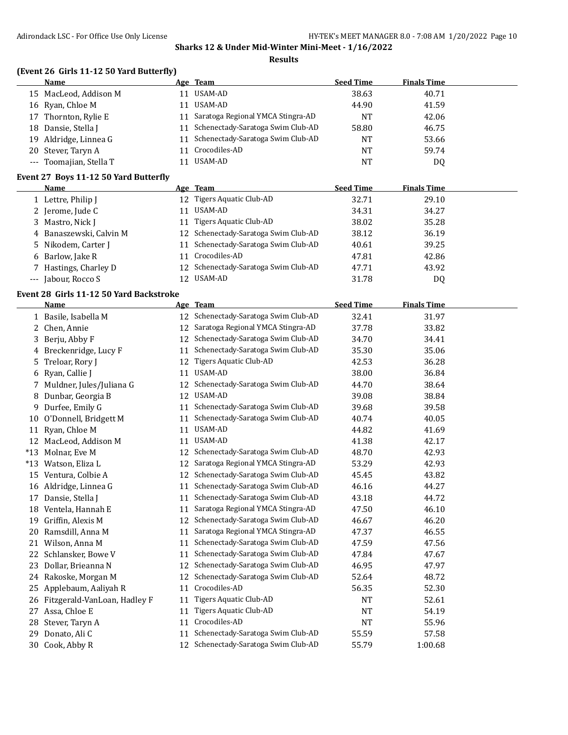#### **Results**

# **(Event 26 Girls 11-12 50 Yard Butterfly)**

| Name                    |    | Age Team                             | <b>Seed Time</b> | <b>Finals Time</b> |  |
|-------------------------|----|--------------------------------------|------------------|--------------------|--|
| 15 MacLeod, Addison M   | 11 | USAM-AD                              | 38.63            | 40.71              |  |
| 16 Ryan, Chloe M        | 11 | USAM-AD                              | 44.90            | 41.59              |  |
| 17 Thornton, Rylie E    |    | 11 Saratoga Regional YMCA Stingra-AD | <b>NT</b>        | 42.06              |  |
| 18 Dansie, Stella J     |    | 11 Schenectady-Saratoga Swim Club-AD | 58.80            | 46.75              |  |
| 19 Aldridge, Linnea G   |    | 11 Schenectady-Saratoga Swim Club-AD | NT               | 53.66              |  |
| 20 Stever, Taryn A      | 11 | Crocodiles-AD                        | NT               | 59.74              |  |
| --- Toomajian, Stella T |    | USAM-AD                              | NT               | DQ                 |  |
|                         |    |                                      |                  |                    |  |

#### **Event 27 Boys 11-12 50 Yard Butterfly**

| Name                |                         |    | Age Team                             | <b>Seed Time</b> | <b>Finals Time</b> |  |
|---------------------|-------------------------|----|--------------------------------------|------------------|--------------------|--|
| 1 Lettre, Philip J  |                         |    | 12 Tigers Aquatic Club-AD            | 32.71            | 29.10              |  |
| 2 Jerome, Jude C    |                         | 11 | USAM-AD                              | 34.31            | 34.27              |  |
| 3 Mastro, Nick J    |                         | 11 | Tigers Aquatic Club-AD               | 38.02            | 35.28              |  |
|                     | 4 Banaszewski, Calvin M |    | 12 Schenectady-Saratoga Swim Club-AD | 38.12            | 36.19              |  |
|                     | 5 Nikodem, Carter J     | 11 | Schenectady-Saratoga Swim Club-AD    | 40.61            | 39.25              |  |
| 6 Barlow, Jake R    |                         | 11 | Crocodiles-AD                        | 47.81            | 42.86              |  |
|                     | 7 Hastings, Charley D   |    | 12 Schenectady-Saratoga Swim Club-AD | 47.71            | 43.92              |  |
| --- Jabour, Rocco S |                         |    | 12 USAM-AD                           | 31.78            | DQ                 |  |

## **Event 28 Girls 11-12 50 Yard Backstroke**

|       | <b>Name</b>                  |    | Age Team                             | <b>Seed Time</b> | <b>Finals Time</b> |  |
|-------|------------------------------|----|--------------------------------------|------------------|--------------------|--|
|       | 1 Basile, Isabella M         | 12 | Schenectady-Saratoga Swim Club-AD    | 32.41            | 31.97              |  |
| 2     | Chen, Annie                  | 12 | Saratoga Regional YMCA Stingra-AD    | 37.78            | 33.82              |  |
| 3.    | Berju, Abby F                | 12 | Schenectady-Saratoga Swim Club-AD    | 34.70            | 34.41              |  |
| 4     | Breckenridge, Lucy F         | 11 | Schenectady-Saratoga Swim Club-AD    | 35.30            | 35.06              |  |
| 5.    | Treloar, Rory J              | 12 | Tigers Aquatic Club-AD               | 42.53            | 36.28              |  |
| 6     | Ryan, Callie J               | 11 | USAM-AD                              | 38.00            | 36.84              |  |
| 7.    | Muldner, Jules/Juliana G     | 12 | Schenectady-Saratoga Swim Club-AD    | 44.70            | 38.64              |  |
| 8     | Dunbar, Georgia B            | 12 | USAM-AD                              | 39.08            | 38.84              |  |
| 9.    | Durfee, Emily G              | 11 | Schenectady-Saratoga Swim Club-AD    | 39.68            | 39.58              |  |
| 10    | O'Donnell, Bridgett M        | 11 | Schenectady-Saratoga Swim Club-AD    | 40.74            | 40.05              |  |
| 11    | Ryan, Chloe M                | 11 | USAM-AD                              | 44.82            | 41.69              |  |
| 12    | MacLeod, Addison M           | 11 | <b>USAM-AD</b>                       | 41.38            | 42.17              |  |
| $*13$ | Molnar, Eve M                | 12 | Schenectady-Saratoga Swim Club-AD    | 48.70            | 42.93              |  |
| $*13$ | Watson, Eliza L              | 12 | Saratoga Regional YMCA Stingra-AD    | 53.29            | 42.93              |  |
| 15    | Ventura, Colbie A            | 12 | Schenectady-Saratoga Swim Club-AD    | 45.45            | 43.82              |  |
| 16    | Aldridge, Linnea G           | 11 | Schenectady-Saratoga Swim Club-AD    | 46.16            | 44.27              |  |
| 17    | Dansie, Stella J             | 11 | Schenectady-Saratoga Swim Club-AD    | 43.18            | 44.72              |  |
| 18    | Ventela, Hannah E            | 11 | Saratoga Regional YMCA Stingra-AD    | 47.50            | 46.10              |  |
| 19    | Griffin, Alexis M            | 12 | Schenectady-Saratoga Swim Club-AD    | 46.67            | 46.20              |  |
| 20    | Ramsdill, Anna M             | 11 | Saratoga Regional YMCA Stingra-AD    | 47.37            | 46.55              |  |
| 21    | Wilson, Anna M               | 11 | Schenectady-Saratoga Swim Club-AD    | 47.59            | 47.56              |  |
| 22    | Schlansker, Bowe V           | 11 | Schenectady-Saratoga Swim Club-AD    | 47.84            | 47.67              |  |
| 23    | Dollar, Brieanna N           | 12 | Schenectady-Saratoga Swim Club-AD    | 46.95            | 47.97              |  |
| 24    | Rakoske, Morgan M            | 12 | Schenectady-Saratoga Swim Club-AD    | 52.64            | 48.72              |  |
| 25    | Applebaum, Aaliyah R         | 11 | Crocodiles-AD                        | 56.35            | 52.30              |  |
| 26    | Fitzgerald-VanLoan, Hadley F | 11 | Tigers Aquatic Club-AD               | NT               | 52.61              |  |
| 27    | Assa, Chloe E                | 11 | Tigers Aquatic Club-AD               | <b>NT</b>        | 54.19              |  |
| 28    | Stever, Taryn A              | 11 | Crocodiles-AD                        | <b>NT</b>        | 55.96              |  |
| 29    | Donato, Ali C                | 11 | Schenectady-Saratoga Swim Club-AD    | 55.59            | 57.58              |  |
| 30    | Cook, Abby R                 |    | 12 Schenectady-Saratoga Swim Club-AD | 55.79            | 1:00.68            |  |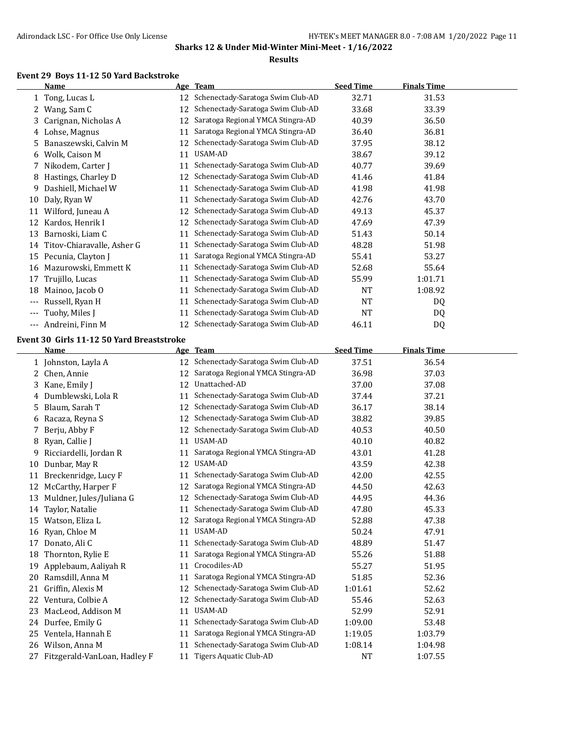#### **Results**

#### **Event 29 Boys 11-12 50 Yard Backstroke**

|     | Name                       | Age | <b>Team</b>                       | <b>Seed Time</b> | <b>Finals Time</b> |  |
|-----|----------------------------|-----|-----------------------------------|------------------|--------------------|--|
|     | 1 Tong, Lucas L            | 12  | Schenectady-Saratoga Swim Club-AD | 32.71            | 31.53              |  |
|     | Wang, Sam C                | 12  | Schenectady-Saratoga Swim Club-AD | 33.68            | 33.39              |  |
| 3   | Carignan, Nicholas A       | 12  | Saratoga Regional YMCA Stingra-AD | 40.39            | 36.50              |  |
| 4   | Lohse, Magnus              | 11  | Saratoga Regional YMCA Stingra-AD | 36.40            | 36.81              |  |
| 5   | Banaszewski, Calvin M      | 12  | Schenectady-Saratoga Swim Club-AD | 37.95            | 38.12              |  |
| 6   | Wolk, Caison M             | 11  | USAM-AD                           | 38.67            | 39.12              |  |
|     | Nikodem, Carter J          | 11  | Schenectady-Saratoga Swim Club-AD | 40.77            | 39.69              |  |
| 8   | Hastings, Charley D        | 12  | Schenectady-Saratoga Swim Club-AD | 41.46            | 41.84              |  |
| 9   | Dashiell, Michael W        | 11  | Schenectady-Saratoga Swim Club-AD | 41.98            | 41.98              |  |
| 10  | Daly, Ryan W               | 11  | Schenectady-Saratoga Swim Club-AD | 42.76            | 43.70              |  |
| 11  | Wilford, Juneau A          | 12  | Schenectady-Saratoga Swim Club-AD | 49.13            | 45.37              |  |
| 12  | Kardos, Henrik I           | 12  | Schenectady-Saratoga Swim Club-AD | 47.69            | 47.39              |  |
| 13  | Barnoski, Liam C           | 11  | Schenectady-Saratoga Swim Club-AD | 51.43            | 50.14              |  |
| 14  | Titov-Chiaravalle, Asher G | 11  | Schenectady-Saratoga Swim Club-AD | 48.28            | 51.98              |  |
| 15  | Pecunia, Clayton J         | 11  | Saratoga Regional YMCA Stingra-AD | 55.41            | 53.27              |  |
| 16  | Mazurowski, Emmett K       | 11  | Schenectady-Saratoga Swim Club-AD | 52.68            | 55.64              |  |
| 17  | Trujillo, Lucas            | 11  | Schenectady-Saratoga Swim Club-AD | 55.99            | 1:01.71            |  |
| 18  | Mainoo, Jacob O            | 11  | Schenectady-Saratoga Swim Club-AD | <b>NT</b>        | 1:08.92            |  |
| --- | Russell, Ryan H            | 11  | Schenectady-Saratoga Swim Club-AD | <b>NT</b>        | DQ                 |  |
| --- | Tuohy, Miles J             | 11  | Schenectady-Saratoga Swim Club-AD | <b>NT</b>        | DQ                 |  |
| --- | Andreini, Finn M           | 12  | Schenectady-Saratoga Swim Club-AD | 46.11            | D <sub>0</sub>     |  |

## **Event 30 Girls 11-12 50 Yard Breaststroke**

|    | <b>Name</b>                  |    | Age Team                          | <b>Seed Time</b> | <b>Finals Time</b> |
|----|------------------------------|----|-----------------------------------|------------------|--------------------|
|    | 1 Johnston, Layla A          | 12 | Schenectady-Saratoga Swim Club-AD | 37.51            | 36.54              |
| 2. | Chen, Annie                  | 12 | Saratoga Regional YMCA Stingra-AD | 36.98            | 37.03              |
| 3. | Kane, Emily J                | 12 | Unattached-AD                     | 37.00            | 37.08              |
|    | 4 Dumblewski, Lola R         | 11 | Schenectady-Saratoga Swim Club-AD | 37.44            | 37.21              |
| 5. | Blaum, Sarah T               | 12 | Schenectady-Saratoga Swim Club-AD | 36.17            | 38.14              |
| 6  | Racaza, Reyna S              | 12 | Schenectady-Saratoga Swim Club-AD | 38.82            | 39.85              |
| 7  | Berju, Abby F                | 12 | Schenectady-Saratoga Swim Club-AD | 40.53            | 40.50              |
| 8  | Ryan, Callie J               | 11 | USAM-AD                           | 40.10            | 40.82              |
| 9  | Ricciardelli, Jordan R       | 11 | Saratoga Regional YMCA Stingra-AD | 43.01            | 41.28              |
| 10 | Dunbar, May R                | 12 | USAM-AD                           | 43.59            | 42.38              |
| 11 | Breckenridge, Lucy F         | 11 | Schenectady-Saratoga Swim Club-AD | 42.00            | 42.55              |
| 12 | McCarthy, Harper F           | 12 | Saratoga Regional YMCA Stingra-AD | 44.50            | 42.63              |
| 13 | Muldner, Jules/Juliana G     | 12 | Schenectady-Saratoga Swim Club-AD | 44.95            | 44.36              |
| 14 | Taylor, Natalie              | 11 | Schenectady-Saratoga Swim Club-AD | 47.80            | 45.33              |
| 15 | Watson, Eliza L              | 12 | Saratoga Regional YMCA Stingra-AD | 52.88            | 47.38              |
| 16 | Ryan, Chloe M                | 11 | USAM-AD                           | 50.24            | 47.91              |
| 17 | Donato, Ali C                | 11 | Schenectady-Saratoga Swim Club-AD | 48.89            | 51.47              |
| 18 | Thornton, Rylie E            | 11 | Saratoga Regional YMCA Stingra-AD | 55.26            | 51.88              |
| 19 | Applebaum, Aaliyah R         | 11 | Crocodiles-AD                     | 55.27            | 51.95              |
| 20 | Ramsdill, Anna M             | 11 | Saratoga Regional YMCA Stingra-AD | 51.85            | 52.36              |
| 21 | Griffin, Alexis M            | 12 | Schenectady-Saratoga Swim Club-AD | 1:01.61          | 52.62              |
| 22 | Ventura, Colbie A            | 12 | Schenectady-Saratoga Swim Club-AD | 55.46            | 52.63              |
| 23 | MacLeod, Addison M           | 11 | USAM-AD                           | 52.99            | 52.91              |
| 24 | Durfee, Emily G              | 11 | Schenectady-Saratoga Swim Club-AD | 1:09.00          | 53.48              |
| 25 | Ventela, Hannah E            | 11 | Saratoga Regional YMCA Stingra-AD | 1:19.05          | 1:03.79            |
| 26 | Wilson, Anna M               | 11 | Schenectady-Saratoga Swim Club-AD | 1:08.14          | 1:04.98            |
| 27 | Fitzgerald-VanLoan, Hadley F | 11 | Tigers Aquatic Club-AD            | <b>NT</b>        | 1:07.55            |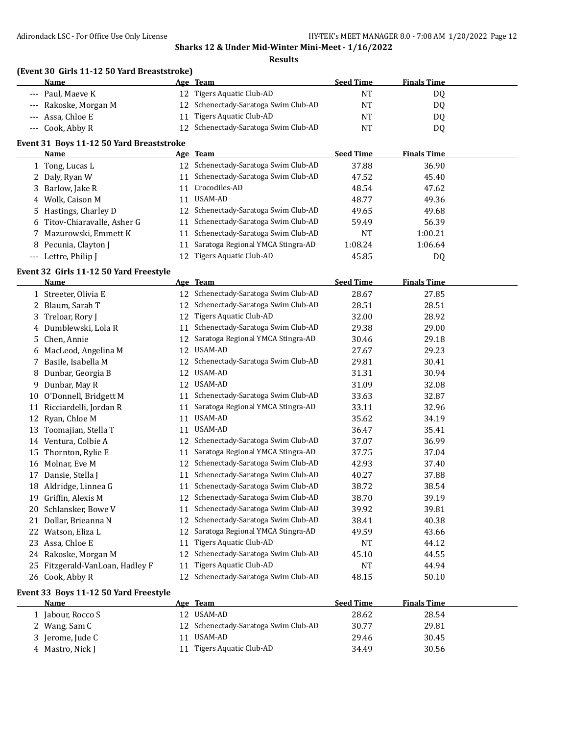|                |                                             |    | Sharks 12 & Under Mid-Winter Mini-Meet - 1/16/2022 |                  |                    |  |  |
|----------------|---------------------------------------------|----|----------------------------------------------------|------------------|--------------------|--|--|
| <b>Results</b> |                                             |    |                                                    |                  |                    |  |  |
|                | (Event 30 Girls 11-12 50 Yard Breaststroke) |    |                                                    |                  |                    |  |  |
|                | Name                                        |    | Age Team                                           | <b>Seed Time</b> | <b>Finals Time</b> |  |  |
| $---$          | Paul, Maeve K                               | 12 | Tigers Aquatic Club-AD                             | NT               | DQ                 |  |  |
|                | Rakoske, Morgan M                           | 12 | Schenectady-Saratoga Swim Club-AD                  | <b>NT</b>        | DQ                 |  |  |
|                | Assa, Chloe E                               | 11 | <b>Tigers Aquatic Club-AD</b>                      | NT               | DQ                 |  |  |
| $\cdots$       | Cook, Abby R                                | 12 | Schenectady-Saratoga Swim Club-AD                  | <b>NT</b>        | DQ                 |  |  |
|                | Event 31 Boys 11-12 50 Yard Breaststroke    |    |                                                    |                  |                    |  |  |
|                | Name                                        |    | Age Team                                           | <b>Seed Time</b> | <b>Finals Time</b> |  |  |
|                | 1 Tong, Lucas L                             |    | 12 Schenectady-Saratoga Swim Club-AD               | 37.88            | 36.90              |  |  |
|                | 2 Daly, Ryan W                              | 11 | Schenectady-Saratoga Swim Club-AD                  | 47.52            | 45.40              |  |  |
|                | 3 Barlow, Jake R                            | 11 | Crocodiles-AD                                      | 48.54            | 47.62              |  |  |
|                | 4 Wolk, Caison M                            | 11 | USAM-AD                                            | 48.77            | 49.36              |  |  |
|                | 5 Hastings, Charley D                       | 12 | Schenectady-Saratoga Swim Club-AD                  | 49.65            | 49.68              |  |  |
| 6              | Titov-Chiaravalle, Asher G                  | 11 | Schenectady-Saratoga Swim Club-AD                  | 59.49            | 56.39              |  |  |
|                | 7 Mazurowski, Emmett K                      | 11 | Schenectady-Saratoga Swim Club-AD                  | NT               | 1:00.21            |  |  |
|                | 8 Pecunia, Clayton J                        | 11 | Saratoga Regional YMCA Stingra-AD                  | 1:08.24          | 1:06.64            |  |  |
|                | --- Lettre, Philip J                        | 12 | <b>Tigers Aquatic Club-AD</b>                      | 45.85            | DQ                 |  |  |
|                | Event 32 Girls 11-12 50 Yard Freestyle      |    |                                                    |                  |                    |  |  |
|                | <b>Name</b>                                 |    | Age Team                                           | <b>Seed Time</b> | <b>Finals Time</b> |  |  |
|                | 1 Streeter, Olivia E                        | 12 | Schenectady-Saratoga Swim Club-AD                  | 28.67            | 27.85              |  |  |
|                | 2 Blaum, Sarah T                            | 12 | Schenectady-Saratoga Swim Club-AD                  | 28.51            | 28.51              |  |  |
|                | 3 Treloar, Rory J                           | 12 | <b>Tigers Aquatic Club-AD</b>                      | 32.00            | 28.92              |  |  |
|                | 4 Dumblewski, Lola R                        | 11 | Schenectady-Saratoga Swim Club-AD                  | 29.38            | 29.00              |  |  |
| 5              | Chen, Annie                                 | 12 | Saratoga Regional YMCA Stingra-AD                  | 30.46            | 29.18              |  |  |
|                | 6 MacLeod, Angelina M                       | 12 | <b>USAM-AD</b>                                     | 27.67            | 29.23              |  |  |
|                | 7 Basile, Isabella M                        | 12 | Schenectady-Saratoga Swim Club-AD                  | 29.81            | 30.41              |  |  |
|                | 8 Dunbar, Georgia B                         | 12 | USAM-AD                                            | 31.31            | 30.94              |  |  |
|                | 9 Dunbar, May R                             | 12 | USAM-AD                                            | 31.09            | 32.08              |  |  |
|                | 10 O'Donnell, Bridgett M                    |    | 11 Schenectady-Saratoga Swim Club-AD               | 33.63            | 32.87              |  |  |
|                | 11 Ricciardelli, Jordan R                   | 11 | Saratoga Regional YMCA Stingra-AD                  | 33.11            | 32.96              |  |  |
|                | 12 Ryan, Chloe M                            | 11 | USAM-AD                                            | 35.62            | 34.19              |  |  |
|                | 13 Toomajian, Stella T                      | 11 | USAM-AD                                            | 36.47            | 35.41              |  |  |
|                | 14 Ventura, Colbie A                        |    | 12 Schenectady-Saratoga Swim Club-AD               | 37.07            | 36.99              |  |  |
|                | 15 Thornton, Rylie E                        |    | 11 Saratoga Regional YMCA Stingra-AD               | 37.75            | 37.04              |  |  |
|                | 16 Molnar, Eve M                            |    | 12 Schenectady-Saratoga Swim Club-AD               | 42.93            | 37.40              |  |  |
|                | 17 Dansie, Stella J                         | 11 | Schenectady-Saratoga Swim Club-AD                  | 40.27            | 37.88              |  |  |
|                | 18 Aldridge, Linnea G                       | 11 | Schenectady-Saratoga Swim Club-AD                  | 38.72            | 38.54              |  |  |
| 19             | Griffin, Alexis M                           | 12 | Schenectady-Saratoga Swim Club-AD                  | 38.70            | 39.19              |  |  |
| 20             | Schlansker, Bowe V                          | 11 | Schenectady-Saratoga Swim Club-AD                  | 39.92            | 39.81              |  |  |
|                | 21 Dollar, Brieanna N                       | 12 | Schenectady-Saratoga Swim Club-AD                  | 38.41            | 40.38              |  |  |
|                | 22 Watson, Eliza L                          | 12 | Saratoga Regional YMCA Stingra-AD                  | 49.59            | 43.66              |  |  |
|                | 23 Assa, Chloe E                            | 11 | Tigers Aquatic Club-AD                             | NT               | 44.12              |  |  |
|                | 24 Rakoske, Morgan M                        | 12 | Schenectady-Saratoga Swim Club-AD                  | 45.10            | 44.55              |  |  |
| 25             | Fitzgerald-VanLoan, Hadley F                | 11 | <b>Tigers Aquatic Club-AD</b>                      | <b>NT</b>        | 44.94              |  |  |
|                | 26 Cook, Abby R                             | 12 | Schenectady-Saratoga Swim Club-AD                  | 48.15            | 50.10              |  |  |
|                | Event 33 Boys 11-12 50 Yard Freestyle       |    |                                                    |                  |                    |  |  |
|                | <u>Name</u>                                 |    | Age Team                                           | <b>Seed Time</b> | <b>Finals Time</b> |  |  |
|                | 1 Jabour, Rocco S                           |    | 12 USAM-AD                                         | 28.62            | 28.54              |  |  |
|                | 2 Wang, Sam C                               | 12 | Schenectady-Saratoga Swim Club-AD                  | 30.77            | 29.81              |  |  |
|                | 3 Jerome, Jude C                            | 11 | USAM-AD                                            | 29.46            | 30.45              |  |  |
|                | 4 Mastro, Nick J                            |    | 11 Tigers Aquatic Club-AD                          | 34.49            | 30.56              |  |  |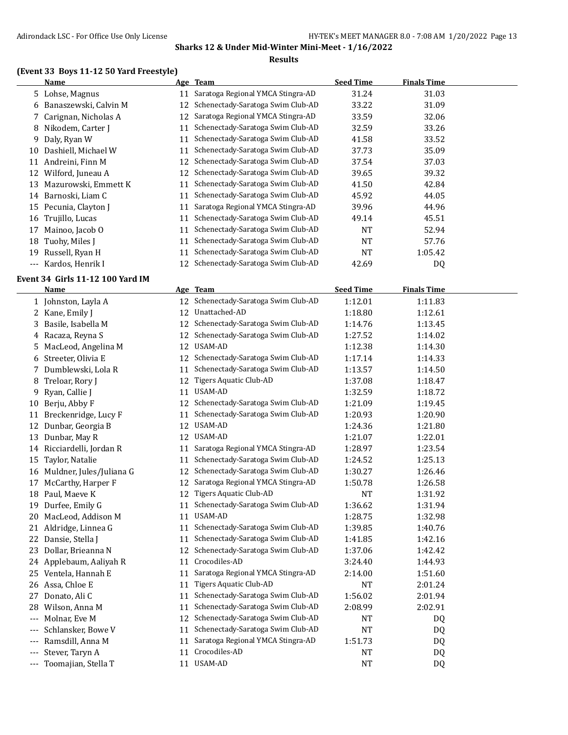#### **Results**

# **(Event 33 Boys 11-12 50 Yard Freestyle)**

|       | Name                    |    | Age Team                          | <b>Seed Time</b> | <b>Finals Time</b> |  |
|-------|-------------------------|----|-----------------------------------|------------------|--------------------|--|
|       | 5 Lohse, Magnus         | 11 | Saratoga Regional YMCA Stingra-AD | 31.24            | 31.03              |  |
|       | 6 Banaszewski, Calvin M | 12 | Schenectady-Saratoga Swim Club-AD | 33.22            | 31.09              |  |
|       | 7 Carignan, Nicholas A  | 12 | Saratoga Regional YMCA Stingra-AD | 33.59            | 32.06              |  |
|       | 8 Nikodem, Carter J     | 11 | Schenectady-Saratoga Swim Club-AD | 32.59            | 33.26              |  |
| 9     | Daly, Ryan W            | 11 | Schenectady-Saratoga Swim Club-AD | 41.58            | 33.52              |  |
| 10    | Dashiell, Michael W     | 11 | Schenectady-Saratoga Swim Club-AD | 37.73            | 35.09              |  |
| 11    | Andreini, Finn M        | 12 | Schenectady-Saratoga Swim Club-AD | 37.54            | 37.03              |  |
| 12    | Wilford, Juneau A       | 12 | Schenectady-Saratoga Swim Club-AD | 39.65            | 39.32              |  |
| 13    | Mazurowski, Emmett K    | 11 | Schenectady-Saratoga Swim Club-AD | 41.50            | 42.84              |  |
| 14    | Barnoski, Liam C        | 11 | Schenectady-Saratoga Swim Club-AD | 45.92            | 44.05              |  |
| 15    | Pecunia, Clayton J      | 11 | Saratoga Regional YMCA Stingra-AD | 39.96            | 44.96              |  |
|       | 16 Trujillo, Lucas      | 11 | Schenectady-Saratoga Swim Club-AD | 49.14            | 45.51              |  |
| 17    | Mainoo, Jacob O         | 11 | Schenectady-Saratoga Swim Club-AD | <b>NT</b>        | 52.94              |  |
| 18    | Tuohy, Miles J          | 11 | Schenectady-Saratoga Swim Club-AD | <b>NT</b>        | 57.76              |  |
| 19    | Russell, Ryan H         | 11 | Schenectady-Saratoga Swim Club-AD | <b>NT</b>        | 1:05.42            |  |
| $---$ | Kardos, Henrik I        | 12 | Schenectady-Saratoga Swim Club-AD | 42.69            | D <sub>0</sub>     |  |

## **Event 34 Girls 11-12 100 Yard IM**

|       | <b>Name</b>              |    | Age Team                             | <b>Seed Time</b> | <b>Finals Time</b> |  |
|-------|--------------------------|----|--------------------------------------|------------------|--------------------|--|
|       | 1 Johnston, Layla A      |    | 12 Schenectady-Saratoga Swim Club-AD | 1:12.01          | 1:11.83            |  |
| 2     | Kane, Emily J            | 12 | Unattached-AD                        | 1:18.80          | 1:12.61            |  |
| 3     | Basile, Isabella M       | 12 | Schenectady-Saratoga Swim Club-AD    | 1:14.76          | 1:13.45            |  |
| 4     | Racaza, Reyna S          | 12 | Schenectady-Saratoga Swim Club-AD    | 1:27.52          | 1:14.02            |  |
|       | MacLeod, Angelina M      | 12 | USAM-AD                              | 1:12.38          | 1:14.30            |  |
| 6     | Streeter, Olivia E       |    | 12 Schenectady-Saratoga Swim Club-AD | 1:17.14          | 1:14.33            |  |
| 7     | Dumblewski, Lola R       | 11 | Schenectady-Saratoga Swim Club-AD    | 1:13.57          | 1:14.50            |  |
| 8     | Treloar, Rory J          | 12 | <b>Tigers Aquatic Club-AD</b>        | 1:37.08          | 1:18.47            |  |
| 9     | Ryan, Callie J           | 11 | <b>USAM-AD</b>                       | 1:32.59          | 1:18.72            |  |
| 10    | Berju, Abby F            |    | 12 Schenectady-Saratoga Swim Club-AD | 1:21.09          | 1:19.45            |  |
| 11    | Breckenridge, Lucy F     | 11 | Schenectady-Saratoga Swim Club-AD    | 1:20.93          | 1:20.90            |  |
| 12    | Dunbar, Georgia B        | 12 | USAM-AD                              | 1:24.36          | 1:21.80            |  |
| 13    | Dunbar, May R            |    | 12 USAM-AD                           | 1:21.07          | 1:22.01            |  |
| 14    | Ricciardelli, Jordan R   |    | 11 Saratoga Regional YMCA Stingra-AD | 1:28.97          | 1:23.54            |  |
| 15    | Taylor, Natalie          |    | 11 Schenectady-Saratoga Swim Club-AD | 1:24.52          | 1:25.13            |  |
| 16    | Muldner, Jules/Juliana G | 12 | Schenectady-Saratoga Swim Club-AD    | 1:30.27          | 1:26.46            |  |
| 17    | McCarthy, Harper F       | 12 | Saratoga Regional YMCA Stingra-AD    | 1:50.78          | 1:26.58            |  |
| 18    | Paul, Maeve K            | 12 | <b>Tigers Aquatic Club-AD</b>        | <b>NT</b>        | 1:31.92            |  |
| 19    | Durfee, Emily G          | 11 | Schenectady-Saratoga Swim Club-AD    | 1:36.62          | 1:31.94            |  |
| 20    | MacLeod, Addison M       |    | 11 USAM-AD                           | 1:28.75          | 1:32.98            |  |
| 21    | Aldridge, Linnea G       | 11 | Schenectady-Saratoga Swim Club-AD    | 1:39.85          | 1:40.76            |  |
| 22    | Dansie, Stella J         |    | 11 Schenectady-Saratoga Swim Club-AD | 1:41.85          | 1:42.16            |  |
| 23    | Dollar, Brieanna N       | 12 | Schenectady-Saratoga Swim Club-AD    | 1:37.06          | 1:42.42            |  |
| 24    | Applebaum, Aaliyah R     | 11 | Crocodiles-AD                        | 3:24.40          | 1:44.93            |  |
| 25    | Ventela, Hannah E        | 11 | Saratoga Regional YMCA Stingra-AD    | 2:14.00          | 1:51.60            |  |
|       | 26 Assa, Chloe E         | 11 | Tigers Aquatic Club-AD               | <b>NT</b>        | 2:01.24            |  |
| 27    | Donato, Ali C            | 11 | Schenectady-Saratoga Swim Club-AD    | 1:56.02          | 2:01.94            |  |
| 28    | Wilson, Anna M           | 11 | Schenectady-Saratoga Swim Club-AD    | 2:08.99          | 2:02.91            |  |
| $---$ | Molnar, Eve M            | 12 | Schenectady-Saratoga Swim Club-AD    | <b>NT</b>        | DQ                 |  |
|       | Schlansker, Bowe V       | 11 | Schenectady-Saratoga Swim Club-AD    | <b>NT</b>        | DQ                 |  |
| $---$ | Ramsdill, Anna M         | 11 | Saratoga Regional YMCA Stingra-AD    | 1:51.73          | DQ                 |  |
| $---$ | Stever, Taryn A          | 11 | Crocodiles-AD                        | <b>NT</b>        | DQ                 |  |
|       | Toomajian, Stella T      |    | 11 USAM-AD                           | <b>NT</b>        | DQ                 |  |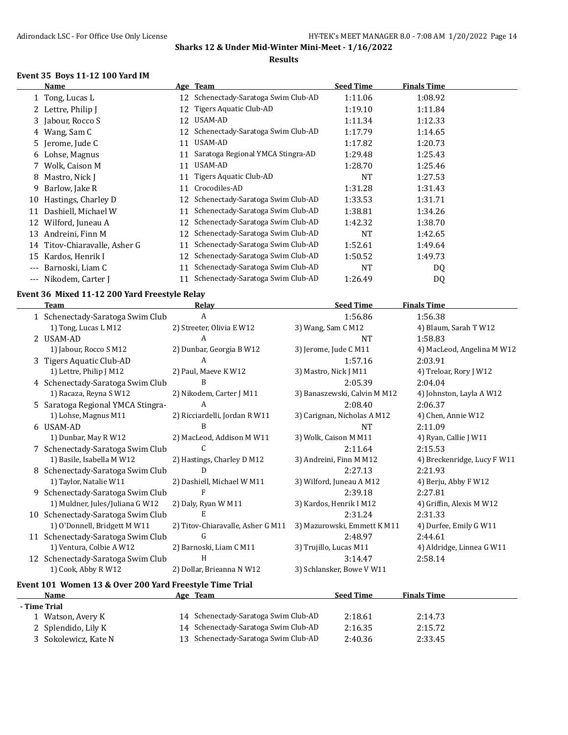#### **Results**

#### **Event 35 Boys 11-12 100 Yard IM**

|       | Name                       |    | Age Team                             | <b>Seed Time</b> | <b>Finals Time</b> |  |
|-------|----------------------------|----|--------------------------------------|------------------|--------------------|--|
|       | 1 Tong, Lucas L            |    | 12 Schenectady-Saratoga Swim Club-AD | 1:11.06          | 1:08.92            |  |
|       | 2 Lettre, Philip J         | 12 | Tigers Aquatic Club-AD               | 1:19.10          | 1:11.84            |  |
|       | 3 Jabour, Rocco S          | 12 | USAM-AD                              | 1:11.34          | 1:12.33            |  |
| 4     | Wang, Sam C                | 12 | Schenectady-Saratoga Swim Club-AD    | 1:17.79          | 1:14.65            |  |
|       | 5 Jerome, Jude C           | 11 | USAM-AD                              | 1:17.82          | 1:20.73            |  |
|       | 6 Lohse, Magnus            | 11 | Saratoga Regional YMCA Stingra-AD    | 1:29.48          | 1:25.43            |  |
|       | Wolk, Caison M             | 11 | USAM-AD                              | 1:28.70          | 1:25.46            |  |
| 8     | Mastro, Nick J             | 11 | Tigers Aquatic Club-AD               | NT               | 1:27.53            |  |
| 9.    | Barlow, Jake R             | 11 | Crocodiles-AD                        | 1:31.28          | 1:31.43            |  |
| 10    | Hastings, Charley D        | 12 | Schenectady-Saratoga Swim Club-AD    | 1:33.53          | 1:31.71            |  |
| 11    | Dashiell, Michael W        | 11 | Schenectady-Saratoga Swim Club-AD    | 1:38.81          | 1:34.26            |  |
| 12    | Wilford, Juneau A          | 12 | Schenectady-Saratoga Swim Club-AD    | 1:42.32          | 1:38.70            |  |
| 13    | Andreini, Finn M           | 12 | Schenectady-Saratoga Swim Club-AD    | NT               | 1:42.65            |  |
| 14    | Titov-Chiaravalle, Asher G | 11 | Schenectady-Saratoga Swim Club-AD    | 1:52.61          | 1:49.64            |  |
| 15    | Kardos, Henrik I           | 12 | Schenectady-Saratoga Swim Club-AD    | 1:50.52          | 1:49.73            |  |
| $---$ | Barnoski, Liam C           | 11 | Schenectady-Saratoga Swim Club-AD    | <b>NT</b>        | DQ                 |  |
| $---$ | Nikodem, Carter J          | 11 | Schenectady-Saratoga Swim Club-AD    | 1:26.49          | DQ                 |  |

#### **Event 36 Mixed 11-12 200 Yard Freestyle Relay**

|    | <b>Team</b>                       | <b>Relay</b>                      | <b>Seed Time</b>             | <b>Finals Time</b>          |
|----|-----------------------------------|-----------------------------------|------------------------------|-----------------------------|
|    | 1 Schenectady-Saratoga Swim Club  | A                                 | 1:56.86                      | 1:56.38                     |
|    | 1) Tong, Lucas L M12              | 2) Streeter, Olivia E W12         | 3) Wang, Sam C M12           | 4) Blaum, Sarah T W12       |
|    | 2 USAM-AD                         | A                                 | NT                           | 1:58.83                     |
|    | 1) Jabour, Rocco S M12            | 2) Dunbar, Georgia B W12          | 3) Jerome, Jude C M11        | 4) MacLeod, Angelina M W12  |
|    | 3 Tigers Aquatic Club-AD          | A                                 | 1:57.16                      | 2:03.91                     |
|    | 1) Lettre, Philip J M12           | 2) Paul, Maeve K W12              | 3) Mastro, Nick J M11        | 4) Treloar, Rory J W12      |
|    | 4 Schenectady-Saratoga Swim Club  | B                                 | 2:05.39                      | 2:04.04                     |
|    | 1) Racaza, Reyna S W12            | 2) Nikodem, Carter J M11          | 3) Banaszewski, Calvin M M12 | 4) Johnston, Layla A W12    |
|    | 5 Saratoga Regional YMCA Stingra- | A                                 | 2:08.40                      | 2:06.37                     |
|    | 1) Lohse, Magnus M11              | 2) Ricciardelli, Jordan R W11     | 3) Carignan, Nicholas A M12  | 4) Chen, Annie W12          |
|    | 6 USAM-AD                         | B                                 | <b>NT</b>                    | 2:11.09                     |
|    | 1) Dunbar, May R W12              | 2) MacLeod, Addison M W11         | 3) Wolk, Caison M M11        | 4) Ryan, Callie J W11       |
|    | 7 Schenectady-Saratoga Swim Club  | C                                 | 2:11.64                      | 2:15.53                     |
|    | 1) Basile, Isabella M W12         | 2) Hastings, Charley D M12        | 3) Andreini, Finn M M12      | 4) Breckenridge, Lucy F W11 |
|    | Schenectady-Saratoga Swim Club    | D                                 | 2:27.13                      | 2:21.93                     |
|    | 1) Taylor, Natalie W11            | 2) Dashiell, Michael W M11        | 3) Wilford, Juneau A M12     | 4) Berju, Abby F W12        |
|    | Schenectady-Saratoga Swim Club    | F                                 | 2:39.18                      | 2:27.81                     |
|    | 1) Muldner, Jules/Juliana G W12   | 2) Daly, Ryan W M11               | 3) Kardos, Henrik I M12      | 4) Griffin, Alexis M W12    |
| 10 | Schenectady-Saratoga Swim Club    | E                                 | 2:31.24                      | 2:31.33                     |
|    | 1) O'Donnell, Bridgett M W11      | 2) Titov-Chiaravalle, Asher G M11 | 3) Mazurowski, Emmett K M11  | 4) Durfee, Emily G W11      |
|    | 11 Schenectady-Saratoga Swim Club | G                                 | 2:48.97                      | 2:44.61                     |
|    | 1) Ventura, Colbie A W12          | 2) Barnoski, Liam C M11           | 3) Trujillo, Lucas M11       | 4) Aldridge, Linnea G W11   |
|    | 12 Schenectady-Saratoga Swim Club | H                                 | 3:14.47                      | 2:58.14                     |
|    | 1) Cook, Abby R W12               | 2) Dollar, Brieanna N W12         | 3) Schlansker, Bowe V W11    |                             |

## **Event 101 Women 13 & Over 200 Yard Freestyle Time Trial**

| Name                 | Age | Team                                 | <b>Seed Time</b> | <b>Finals Time</b> |
|----------------------|-----|--------------------------------------|------------------|--------------------|
| - Time Trial         |     |                                      |                  |                    |
| Watson, Avery K      |     | 14 Schenectady-Saratoga Swim Club-AD | 2:18.61          | 2:14.73            |
| 2 Splendido, Lily K  |     | 14 Schenectady-Saratoga Swim Club-AD | 2:16.35          | 2:15.72            |
| 3 Sokolewicz, Kate N |     | 13 Schenectady-Saratoga Swim Club-AD | 2:40.36          | 2:33.45            |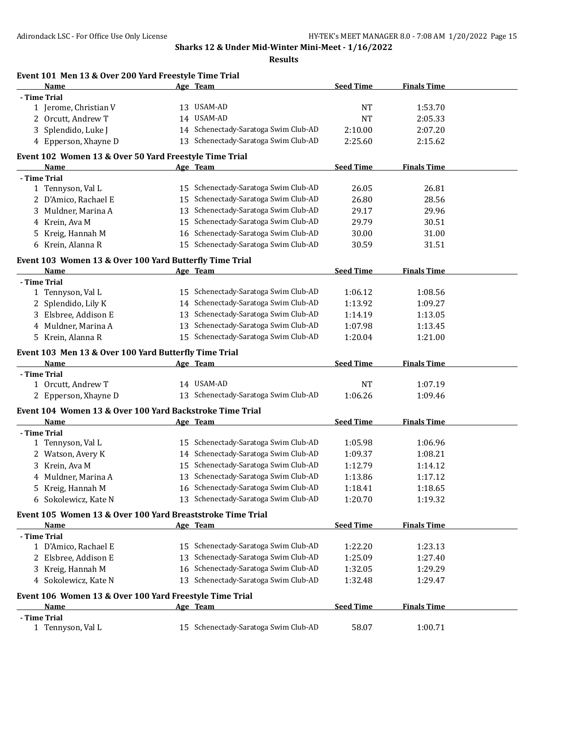**Results**

|   | Event 101 Men 13 & Over 200 Yard Freestyle Time Trial      |    |                                                                              |                  |                    |  |
|---|------------------------------------------------------------|----|------------------------------------------------------------------------------|------------------|--------------------|--|
|   | Name                                                       |    | Age Team                                                                     | <b>Seed Time</b> | <b>Finals Time</b> |  |
|   | - Time Trial                                               |    |                                                                              |                  |                    |  |
|   | 1 Jerome, Christian V                                      |    | 13 USAM-AD                                                                   | <b>NT</b>        | 1:53.70            |  |
|   | 2 Orcutt, Andrew T                                         |    | 14 USAM-AD                                                                   | NT               | 2:05.33            |  |
|   | 3 Splendido, Luke J                                        |    | 14 Schenectady-Saratoga Swim Club-AD                                         | 2:10.00          | 2:07.20            |  |
|   | 4 Epperson, Xhayne D                                       |    | 13 Schenectady-Saratoga Swim Club-AD                                         | 2:25.60          | 2:15.62            |  |
|   | Event 102 Women 13 & Over 50 Yard Freestyle Time Trial     |    |                                                                              |                  |                    |  |
|   | Name                                                       |    | Age Team                                                                     | <b>Seed Time</b> | <b>Finals Time</b> |  |
|   | - Time Trial                                               |    |                                                                              |                  |                    |  |
|   | 1 Tennyson, Val L                                          |    | 15 Schenectady-Saratoga Swim Club-AD                                         | 26.05            | 26.81              |  |
|   | 2 D'Amico, Rachael E                                       | 15 | Schenectady-Saratoga Swim Club-AD                                            | 26.80            | 28.56              |  |
|   | 3 Muldner, Marina A                                        | 13 | Schenectady-Saratoga Swim Club-AD                                            | 29.17            | 29.96              |  |
|   | 4 Krein, Ava M                                             |    | 15 Schenectady-Saratoga Swim Club-AD                                         | 29.79            | 30.51              |  |
| 5 | Kreig, Hannah M                                            |    | 16 Schenectady-Saratoga Swim Club-AD                                         | 30.00            | 31.00              |  |
|   | 6 Krein, Alanna R                                          |    | 15 Schenectady-Saratoga Swim Club-AD                                         | 30.59            | 31.51              |  |
|   | Event 103 Women 13 & Over 100 Yard Butterfly Time Trial    |    |                                                                              |                  |                    |  |
|   | Name                                                       |    | Age Team                                                                     | <b>Seed Time</b> | <b>Finals Time</b> |  |
|   | - Time Trial                                               |    |                                                                              |                  |                    |  |
|   | 1 Tennyson, Val L                                          |    | 15 Schenectady-Saratoga Swim Club-AD                                         | 1:06.12          | 1:08.56            |  |
|   | 2 Splendido, Lily K                                        |    | 14 Schenectady-Saratoga Swim Club-AD                                         | 1:13.92          | 1:09.27            |  |
|   | 3 Elsbree, Addison E                                       | 13 | Schenectady-Saratoga Swim Club-AD                                            | 1:14.19          | 1:13.05            |  |
|   | 4 Muldner, Marina A                                        | 13 | Schenectady-Saratoga Swim Club-AD                                            | 1:07.98          | 1:13.45            |  |
|   | 5 Krein, Alanna R                                          |    | 15 Schenectady-Saratoga Swim Club-AD                                         | 1:20.04          | 1:21.00            |  |
|   | Event 103 Men 13 & Over 100 Yard Butterfly Time Trial      |    |                                                                              |                  |                    |  |
|   | Name                                                       |    | Age Team                                                                     | <b>Seed Time</b> | <b>Finals Time</b> |  |
|   | - Time Trial                                               |    |                                                                              |                  |                    |  |
|   | 1 Orcutt, Andrew T                                         |    | 14 USAM-AD                                                                   | NT               | 1:07.19            |  |
|   | 2 Epperson, Xhayne D                                       |    | 13 Schenectady-Saratoga Swim Club-AD                                         | 1:06.26          | 1:09.46            |  |
|   | Event 104 Women 13 & Over 100 Yard Backstroke Time Trial   |    |                                                                              |                  |                    |  |
|   | Name                                                       |    | Age Team                                                                     | <b>Seed Time</b> | <b>Finals Time</b> |  |
|   | - Time Trial                                               |    |                                                                              |                  | 1:06.96            |  |
|   | 1 Tennyson, Val L                                          |    | 15 Schenectady-Saratoga Swim Club-AD<br>14 Schenectady-Saratoga Swim Club-AD | 1:05.98          |                    |  |
|   | 2 Watson, Avery K                                          |    |                                                                              | 1:09.37          | 1:08.21            |  |
| 3 | Krein, Ava M                                               |    | 15 Schenectady-Saratoga Swim Club-AD                                         | 1:12.79          | 1:14.12            |  |
|   | 4 Muldner, Marina A                                        |    | 13 Schenectady-Saratoga Swim Club-AD                                         | 1:13.86          | 1:17.12            |  |
|   | 5 Kreig, Hannah M                                          |    | 16 Schenectady-Saratoga Swim Club-AD                                         | 1:18.41          | 1:18.65            |  |
|   | 6 Sokolewicz, Kate N                                       |    | 13 Schenectady-Saratoga Swim Club-AD                                         | 1:20.70          | 1:19.32            |  |
|   | Event 105 Women 13 & Over 100 Yard Breaststroke Time Trial |    |                                                                              |                  |                    |  |
|   | Name                                                       |    | Age Team                                                                     | <b>Seed Time</b> | <b>Finals Time</b> |  |
|   | - Time Trial                                               |    |                                                                              |                  |                    |  |
|   | 1 D'Amico, Rachael E                                       |    | 15 Schenectady-Saratoga Swim Club-AD<br>Schenectady-Saratoga Swim Club-AD    | 1:22.20          | 1:23.13            |  |
|   | 2 Elsbree, Addison E                                       | 13 | Schenectady-Saratoga Swim Club-AD                                            | 1:25.09          | 1:27.40            |  |
|   | 3 Kreig, Hannah M                                          | 16 |                                                                              | 1:32.05          | 1:29.29            |  |
|   | 4 Sokolewicz, Kate N                                       |    | 13 Schenectady-Saratoga Swim Club-AD                                         | 1:32.48          | 1:29.47            |  |
|   | Event 106 Women 13 & Over 100 Yard Freestyle Time Trial    |    |                                                                              |                  |                    |  |
|   | Name                                                       |    | Age Team                                                                     | <b>Seed Time</b> | <b>Finals Time</b> |  |
|   | - Time Trial                                               |    |                                                                              |                  |                    |  |
|   | 1 Tennyson, Val L                                          |    | 15 Schenectady-Saratoga Swim Club-AD                                         | 58.07            | 1:00.71            |  |